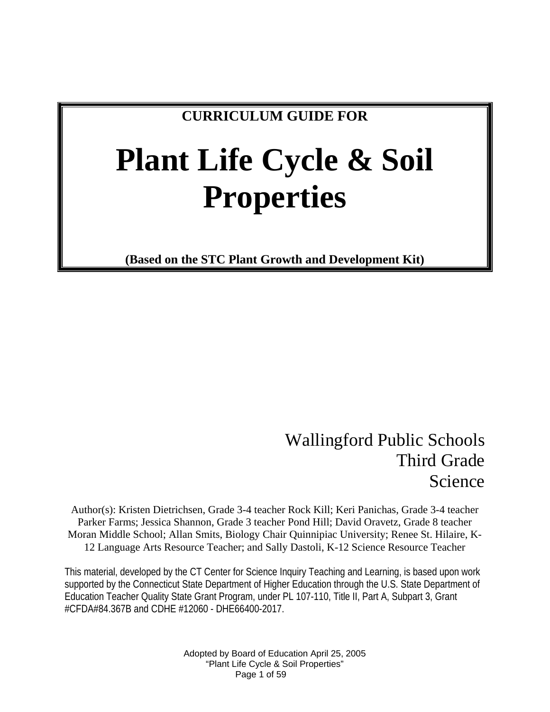# **CURRICULUM GUIDE FOR**

# **Plant Life Cycle & Soil Properties**

**(Based on the STC Plant Growth and Development Kit)** 

# Wallingford Public Schools Third Grade Science

Author(s): Kristen Dietrichsen, Grade 3-4 teacher Rock Kill; Keri Panichas, Grade 3-4 teacher Parker Farms; Jessica Shannon, Grade 3 teacher Pond Hill; David Oravetz, Grade 8 teacher Moran Middle School; Allan Smits, Biology Chair Quinnipiac University; Renee St. Hilaire, K-12 Language Arts Resource Teacher; and Sally Dastoli, K-12 Science Resource Teacher

This material, developed by the CT Center for Science Inquiry Teaching and Learning, is based upon work supported by the Connecticut State Department of Higher Education through the U.S. State Department of Education Teacher Quality State Grant Program, under PL 107-110, Title II, Part A, Subpart 3, Grant #CFDA#84.367B and CDHE #12060 - DHE66400-2017.

> Adopted by Board of Education April 25, 2005 "Plant Life Cycle & Soil Properties" Page 1 of 59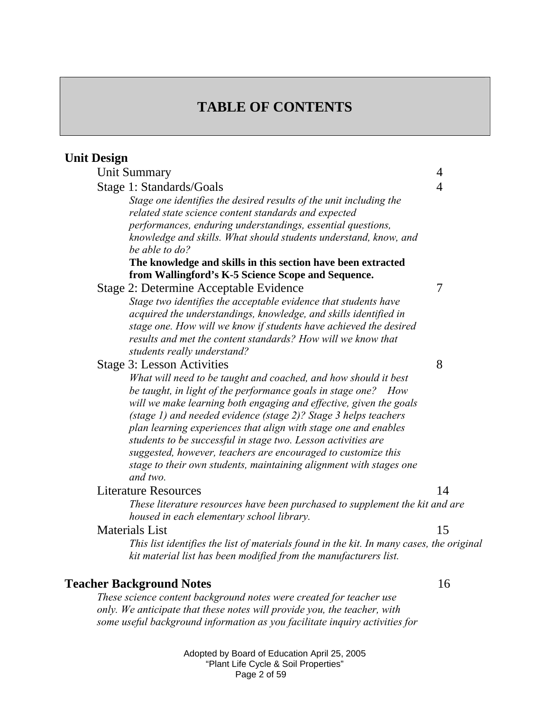# **TABLE OF CONTENTS**

| <b>Unit Summary</b>                                                                                                       | $\overline{4}$ |
|---------------------------------------------------------------------------------------------------------------------------|----------------|
| Stage 1: Standards/Goals                                                                                                  | 4              |
| Stage one identifies the desired results of the unit including the                                                        |                |
| related state science content standards and expected                                                                      |                |
| performances, enduring understandings, essential questions,                                                               |                |
| knowledge and skills. What should students understand, know, and<br>be able to do?                                        |                |
| The knowledge and skills in this section have been extracted                                                              |                |
| from Wallingford's K-5 Science Scope and Sequence.                                                                        |                |
| Stage 2: Determine Acceptable Evidence                                                                                    | 7              |
| Stage two identifies the acceptable evidence that students have                                                           |                |
| acquired the understandings, knowledge, and skills identified in                                                          |                |
| stage one. How will we know if students have achieved the desired                                                         |                |
| results and met the content standards? How will we know that                                                              |                |
| students really understand?                                                                                               |                |
| Stage 3: Lesson Activities                                                                                                | 8              |
| What will need to be taught and coached, and how should it best                                                           |                |
| be taught, in light of the performance goals in stage one? How                                                            |                |
| will we make learning both engaging and effective, given the goals                                                        |                |
| (stage 1) and needed evidence (stage 2)? Stage 3 helps teachers                                                           |                |
| plan learning experiences that align with stage one and enables                                                           |                |
| students to be successful in stage two. Lesson activities are                                                             |                |
| suggested, however, teachers are encouraged to customize this                                                             |                |
| stage to their own students, maintaining alignment with stages one                                                        |                |
| and two.                                                                                                                  |                |
| <b>Literature Resources</b>                                                                                               | 14             |
| These literature resources have been purchased to supplement the kit and are<br>housed in each elementary school library. |                |
| <b>Materials List</b>                                                                                                     | 15             |
| This list identifies the list of materials found in the kit. In many cases, the original                                  |                |
| kit material list has been modified from the manufacturers list.                                                          |                |
| <b>Teacher Background Notes</b>                                                                                           | 16             |
| These science content background notes were created for teacher use                                                       |                |
| only. We anticipate that these notes will provide you, the teacher, with                                                  |                |

Adopted by Board of Education April 25, 2005

*some useful background information as you facilitate inquiry activities for* 

"Plant Life Cycle & Soil Properties" Page 2 of 59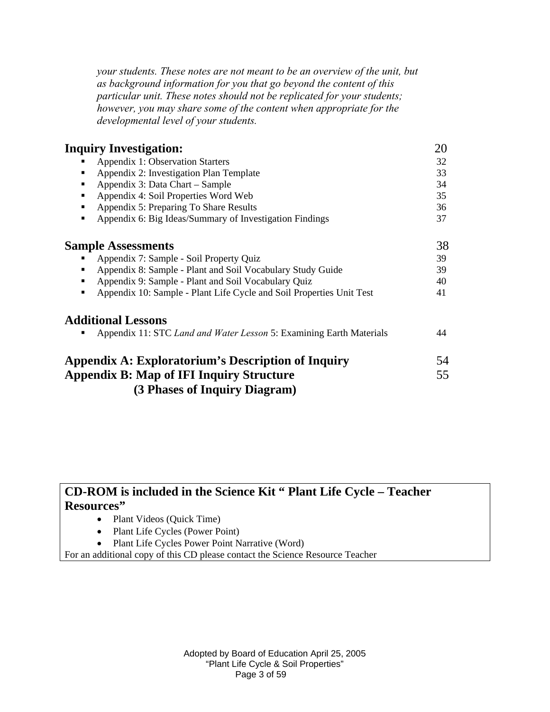*your students. These notes are not meant to be an overview of the unit, but as background information for you that go beyond the content of this particular unit. These notes should not be replicated for your students; however, you may share some of the content when appropriate for the developmental level of your students.* 

| <b>Inquiry Investigation:</b>                                                          | 20 |
|----------------------------------------------------------------------------------------|----|
| Appendix 1: Observation Starters                                                       | 32 |
| Appendix 2: Investigation Plan Template<br>٠                                           | 33 |
| Appendix 3: Data Chart – Sample<br>٠                                                   | 34 |
| Appendix 4: Soil Properties Word Web<br>٠                                              | 35 |
| Appendix 5: Preparing To Share Results<br>٠                                            | 36 |
| Appendix 6: Big Ideas/Summary of Investigation Findings<br>٠                           | 37 |
| <b>Sample Assessments</b>                                                              | 38 |
| Appendix 7: Sample - Soil Property Quiz                                                | 39 |
| Appendix 8: Sample - Plant and Soil Vocabulary Study Guide                             | 39 |
| Appendix 9: Sample - Plant and Soil Vocabulary Quiz<br>٠                               | 40 |
| Appendix 10: Sample - Plant Life Cycle and Soil Properties Unit Test<br>$\blacksquare$ | 41 |
| <b>Additional Lessons</b>                                                              |    |
| Appendix 11: STC Land and Water Lesson 5: Examining Earth Materials                    | 44 |
| Appendix A: Exploratorium's Description of Inquiry                                     | 54 |
| <b>Appendix B: Map of IFI Inquiry Structure</b>                                        | 55 |
| (3 Phases of Inquiry Diagram)                                                          |    |

# **CD-ROM is included in the Science Kit " Plant Life Cycle – Teacher Resources"**

- Plant Videos (Quick Time)
- Plant Life Cycles (Power Point)
- Plant Life Cycles Power Point Narrative (Word)

For an additional copy of this CD please contact the Science Resource Teacher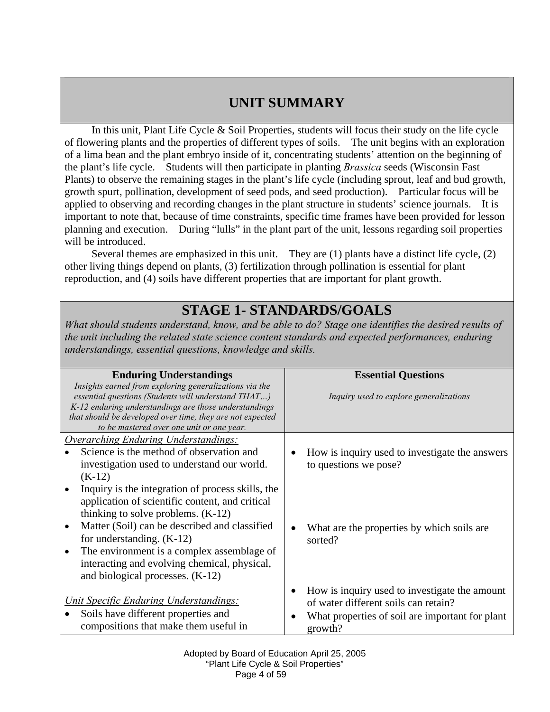# **UNIT SUMMARY**

 In this unit, Plant Life Cycle & Soil Properties, students will focus their study on the life cycle of flowering plants and the properties of different types of soils. The unit begins with an exploration of a lima bean and the plant embryo inside of it, concentrating students' attention on the beginning of the plant's life cycle. Students will then participate in planting *Brassica* seeds (Wisconsin Fast Plants) to observe the remaining stages in the plant's life cycle (including sprout, leaf and bud growth, growth spurt, pollination, development of seed pods, and seed production). Particular focus will be applied to observing and recording changes in the plant structure in students' science journals. It is important to note that, because of time constraints, specific time frames have been provided for lesson planning and execution. During "lulls" in the plant part of the unit, lessons regarding soil properties will be introduced.

 Several themes are emphasized in this unit. They are (1) plants have a distinct life cycle, (2) other living things depend on plants, (3) fertilization through pollination is essential for plant reproduction, and (4) soils have different properties that are important for plant growth.

# **STAGE 1- STANDARDS/GOALS**

*What should students understand, know, and be able to do? Stage one identifies the desired results of the unit including the related state science content standards and expected performances, enduring understandings, essential questions, knowledge and skills.* 

| <b>Enduring Understandings</b>                                                                                                                                                                                                                                                                                                                                 | <b>Essential Questions</b>                                                                                                                                                    |  |  |  |
|----------------------------------------------------------------------------------------------------------------------------------------------------------------------------------------------------------------------------------------------------------------------------------------------------------------------------------------------------------------|-------------------------------------------------------------------------------------------------------------------------------------------------------------------------------|--|--|--|
| Insights earned from exploring generalizations via the<br>essential questions (Students will understand THAT)<br>K-12 enduring understandings are those understandings<br>that should be developed over time, they are not expected<br>to be mastered over one unit or one year.                                                                               | Inquiry used to explore generalizations                                                                                                                                       |  |  |  |
| <b>Overarching Enduring Understandings:</b>                                                                                                                                                                                                                                                                                                                    |                                                                                                                                                                               |  |  |  |
| Science is the method of observation and<br>investigation used to understand our world.<br>$(K-12)$                                                                                                                                                                                                                                                            | How is inquiry used to investigate the answers<br>٠<br>to questions we pose?                                                                                                  |  |  |  |
| Inquiry is the integration of process skills, the<br>application of scientific content, and critical<br>thinking to solve problems. $(K-12)$<br>Matter (Soil) can be described and classified<br>for understanding. $(K-12)$<br>The environment is a complex assemblage of<br>interacting and evolving chemical, physical,<br>and biological processes. (K-12) | What are the properties by which soils are<br>$\bullet$<br>sorted?                                                                                                            |  |  |  |
| <u><b>Unit Specific Enduring Understandings:</b></u><br>Soils have different properties and<br>compositions that make them useful in                                                                                                                                                                                                                           | How is inquiry used to investigate the amount<br>$\bullet$<br>of water different soils can retain?<br>What properties of soil are important for plant<br>$\bullet$<br>growth? |  |  |  |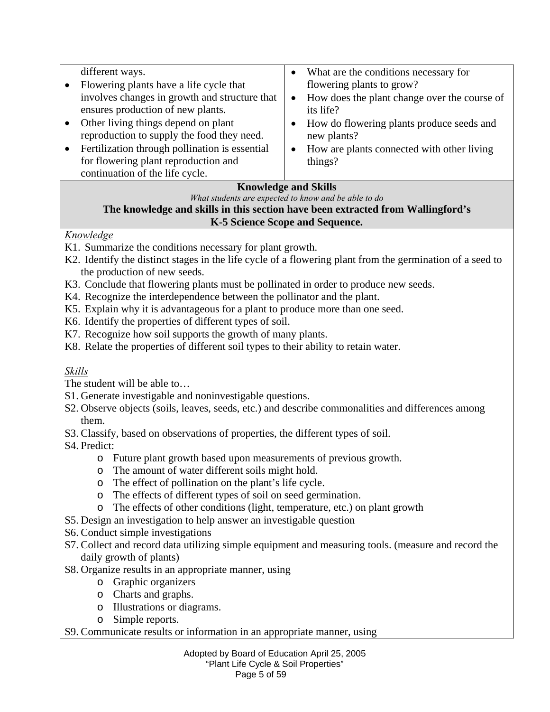different ways.

- Flowering plants have a life cycle that involves changes in growth and structure that ensures production of new plants.
- Other living things depend on plant reproduction to supply the food they need.
- Fertilization through pollination is essential for flowering plant reproduction and continuation of the life cycle.
- What are the conditions necessary for flowering plants to grow?
- How does the plant change over the course of its life?
- How do flowering plants produce seeds and new plants?
- How are plants connected with other living things?

## **Knowledge and Skills**

#### *What students are expected to know and be able to do*  **The knowledge and skills in this section have been extracted from Wallingford's K-5 Science Scope and Sequence.**

### *Knowledge*

- K1. Summarize the conditions necessary for plant growth.
- K2. Identify the distinct stages in the life cycle of a flowering plant from the germination of a seed to the production of new seeds.
- K3. Conclude that flowering plants must be pollinated in order to produce new seeds.
- K4. Recognize the interdependence between the pollinator and the plant.
- K5. Explain why it is advantageous for a plant to produce more than one seed.
- K6. Identify the properties of different types of soil.
- K7. Recognize how soil supports the growth of many plants.
- K8. Relate the properties of different soil types to their ability to retain water.

# *Skills*

The student will be able to…

- S1. Generate investigable and noninvestigable questions.
- S2. Observe objects (soils, leaves, seeds, etc.) and describe commonalities and differences among them.
- S3. Classify, based on observations of properties, the different types of soil.
- S4. Predict:
	- o Future plant growth based upon measurements of previous growth.
	- o The amount of water different soils might hold.
	- o The effect of pollination on the plant's life cycle.
	- o The effects of different types of soil on seed germination.
	- o The effects of other conditions (light, temperature, etc.) on plant growth
- S5. Design an investigation to help answer an investigable question
- S6. Conduct simple investigations
- S7. Collect and record data utilizing simple equipment and measuring tools. (measure and record the daily growth of plants)
- S8. Organize results in an appropriate manner, using
	- o Graphic organizers
	- o Charts and graphs.
	- o Illustrations or diagrams.
	- o Simple reports.
- S9. Communicate results or information in an appropriate manner, using

Adopted by Board of Education April 25, 2005 "Plant Life Cycle & Soil Properties" Page 5 of 59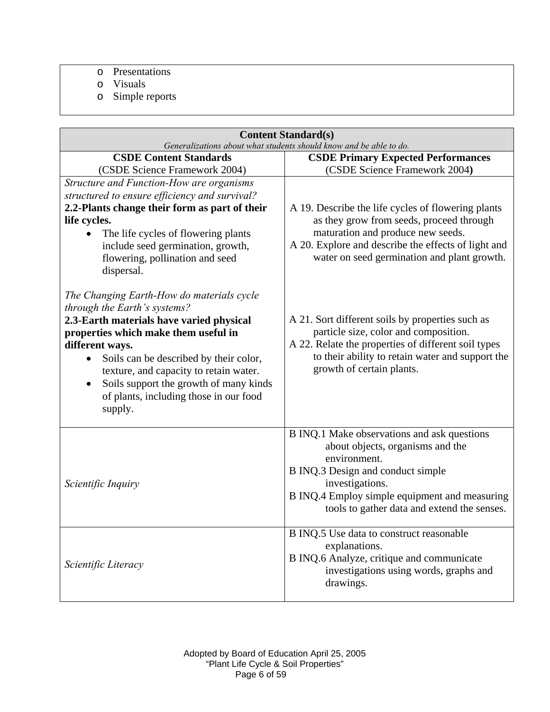- o Presentations
- o Visuals
- o Simple reports

| <b>Content Standard(s)</b><br>Generalizations about what students should know and be able to do.                                                                                                                                                                                                                                                                                              |                                                                                                                                                                                                                                                         |  |
|-----------------------------------------------------------------------------------------------------------------------------------------------------------------------------------------------------------------------------------------------------------------------------------------------------------------------------------------------------------------------------------------------|---------------------------------------------------------------------------------------------------------------------------------------------------------------------------------------------------------------------------------------------------------|--|
| <b>CSDE Content Standards</b>                                                                                                                                                                                                                                                                                                                                                                 | <b>CSDE Primary Expected Performances</b>                                                                                                                                                                                                               |  |
| (CSDE Science Framework 2004)                                                                                                                                                                                                                                                                                                                                                                 | (CSDE Science Framework 2004)                                                                                                                                                                                                                           |  |
| Structure and Function-How are organisms<br>structured to ensure efficiency and survival?<br>2.2-Plants change their form as part of their<br>life cycles.<br>The life cycles of flowering plants<br>include seed germination, growth,<br>flowering, pollination and seed<br>dispersal.                                                                                                       | A 19. Describe the life cycles of flowering plants<br>as they grow from seeds, proceed through<br>maturation and produce new seeds.<br>A 20. Explore and describe the effects of light and<br>water on seed germination and plant growth.               |  |
| The Changing Earth-How do materials cycle<br>through the Earth's systems?<br>2.3-Earth materials have varied physical<br>properties which make them useful in<br>different ways.<br>Soils can be described by their color,<br>$\bullet$<br>texture, and capacity to retain water.<br>Soils support the growth of many kinds<br>$\bullet$<br>of plants, including those in our food<br>supply. | A 21. Sort different soils by properties such as<br>particle size, color and composition.<br>A 22. Relate the properties of different soil types<br>to their ability to retain water and support the<br>growth of certain plants.                       |  |
| Scientific Inquiry                                                                                                                                                                                                                                                                                                                                                                            | B INQ.1 Make observations and ask questions<br>about objects, organisms and the<br>environment.<br>B INQ.3 Design and conduct simple<br>investigations.<br>B INQ.4 Employ simple equipment and measuring<br>tools to gather data and extend the senses. |  |
| Scientific Literacy                                                                                                                                                                                                                                                                                                                                                                           | B INQ.5 Use data to construct reasonable<br>explanations.<br>B INQ.6 Analyze, critique and communicate<br>investigations using words, graphs and<br>drawings.                                                                                           |  |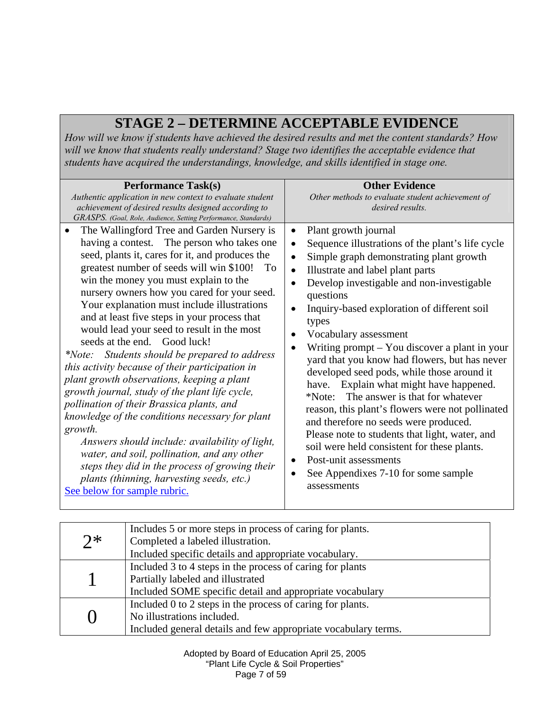# **STAGE 2 – DETERMINE ACCEPTABLE EVIDENCE**

*How will we know if students have achieved the desired results and met the content standards? How will we know that students really understand? Stage two identifies the acceptable evidence that students have acquired the understandings, knowledge, and skills identified in stage one.* 

| <b>Performance Task(s)</b><br>Authentic application in new context to evaluate student<br>achievement of desired results designed according to<br>GRASPS. (Goal, Role, Audience, Setting Performance, Standards)                                                                                                                                                                                                                                                                                                                                                                                                                                                                                                                                                                                                                                                                                                                                                                                                  | <b>Other Evidence</b><br>Other methods to evaluate student achievement of<br>desired results.                                                                                                                                                                                                                                                                                                                                                                                                                                                                                                                                                                                                                                                                                                                                                                                           |
|-------------------------------------------------------------------------------------------------------------------------------------------------------------------------------------------------------------------------------------------------------------------------------------------------------------------------------------------------------------------------------------------------------------------------------------------------------------------------------------------------------------------------------------------------------------------------------------------------------------------------------------------------------------------------------------------------------------------------------------------------------------------------------------------------------------------------------------------------------------------------------------------------------------------------------------------------------------------------------------------------------------------|-----------------------------------------------------------------------------------------------------------------------------------------------------------------------------------------------------------------------------------------------------------------------------------------------------------------------------------------------------------------------------------------------------------------------------------------------------------------------------------------------------------------------------------------------------------------------------------------------------------------------------------------------------------------------------------------------------------------------------------------------------------------------------------------------------------------------------------------------------------------------------------------|
| The Wallingford Tree and Garden Nursery is<br>having a contest. The person who takes one<br>seed, plants it, cares for it, and produces the<br>greatest number of seeds will win \$100!<br>To<br>win the money you must explain to the<br>nursery owners how you cared for your seed.<br>Your explanation must include illustrations<br>and at least five steps in your process that<br>would lead your seed to result in the most<br>seeds at the end. Good luck!<br>*Note: Students should be prepared to address<br>this activity because of their participation in<br>plant growth observations, keeping a plant<br>growth journal, study of the plant life cycle,<br>pollination of their Brassica plants, and<br>knowledge of the conditions necessary for plant<br>growth.<br>Answers should include: availability of light,<br>water, and soil, pollination, and any other<br>steps they did in the process of growing their<br>plants (thinning, harvesting seeds, etc.)<br>See below for sample rubric. | Plant growth journal<br>$\bullet$<br>Sequence illustrations of the plant's life cycle<br>Simple graph demonstrating plant growth<br>Illustrate and label plant parts<br>$\bullet$<br>Develop investigable and non-investigable<br>$\bullet$<br>questions<br>Inquiry-based exploration of different soil<br>$\bullet$<br>types<br>Vocabulary assessment<br>Writing prompt $-$ You discover a plant in your<br>$\bullet$<br>yard that you know had flowers, but has never<br>developed seed pods, while those around it<br>have. Explain what might have happened.<br>*Note: The answer is that for whatever<br>reason, this plant's flowers were not pollinated<br>and therefore no seeds were produced.<br>Please note to students that light, water, and<br>soil were held consistent for these plants.<br>Post-unit assessments<br>See Appendixes 7-10 for some sample<br>assessments |

| $7*$ | Includes 5 or more steps in process of caring for plants.<br>Completed a labeled illustration. |
|------|------------------------------------------------------------------------------------------------|
|      | Included specific details and appropriate vocabulary.                                          |
|      | Included 3 to 4 steps in the process of caring for plants                                      |
|      | Partially labeled and illustrated                                                              |
|      | Included SOME specific detail and appropriate vocabulary                                       |
|      | Included 0 to 2 steps in the process of caring for plants.                                     |
|      | No illustrations included.                                                                     |
|      | Included general details and few appropriate vocabulary terms.                                 |

Adopted by Board of Education April 25, 2005 "Plant Life Cycle & Soil Properties" Page 7 of 59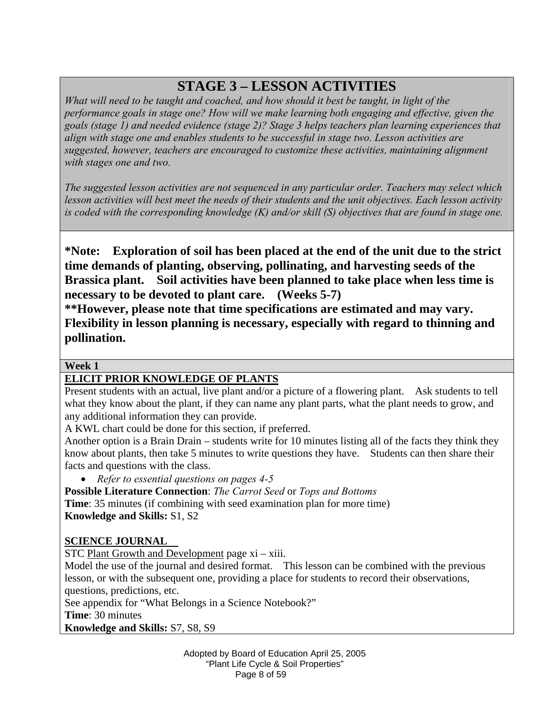# **STAGE 3 – LESSON ACTIVITIES**

*What will need to be taught and coached, and how should it best be taught, in light of the performance goals in stage one? How will we make learning both engaging and effective, given the goals (stage 1) and needed evidence (stage 2)? Stage 3 helps teachers plan learning experiences that align with stage one and enables students to be successful in stage two. Lesson activities are suggested, however, teachers are encouraged to customize these activities, maintaining alignment with stages one and two.* 

*The suggested lesson activities are not sequenced in any particular order. Teachers may select which lesson activities will best meet the needs of their students and the unit objectives. Each lesson activity is coded with the corresponding knowledge (K) and/or skill (S) objectives that are found in stage one.* 

**\*Note: Exploration of soil has been placed at the end of the unit due to the strict time demands of planting, observing, pollinating, and harvesting seeds of the Brassica plant. Soil activities have been planned to take place when less time is necessary to be devoted to plant care. (Weeks 5-7)** 

**\*\*However, please note that time specifications are estimated and may vary. Flexibility in lesson planning is necessary, especially with regard to thinning and pollination.** 

**Week 1** 

# **ELICIT PRIOR KNOWLEDGE OF PLANTS**

Present students with an actual, live plant and/or a picture of a flowering plant. Ask students to tell what they know about the plant, if they can name any plant parts, what the plant needs to grow, and any additional information they can provide.

A KWL chart could be done for this section, if preferred.

Another option is a Brain Drain – students write for 10 minutes listing all of the facts they think they know about plants, then take 5 minutes to write questions they have. Students can then share their facts and questions with the class.

• *Refer to essential questions on pages 4-5* 

**Possible Literature Connection**: *The Carrot Seed* or *Tops and Bottoms* **Time**: 35 minutes (if combining with seed examination plan for more time) **Knowledge and Skills:** S1, S2

# **SCIENCE JOURNAL**

STC Plant Growth and Development page xi – xiii.

Model the use of the journal and desired format. This lesson can be combined with the previous lesson, or with the subsequent one, providing a place for students to record their observations, questions, predictions, etc.

See appendix for "What Belongs in a Science Notebook?"

**Time**: 30 minutes

**Knowledge and Skills:** S7, S8, S9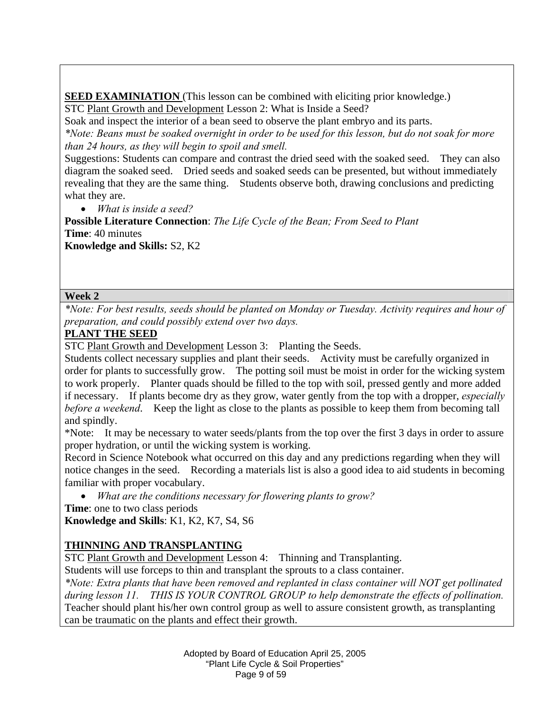**SEED EXAMINIATION** (This lesson can be combined with eliciting prior knowledge.) STC Plant Growth and Development Lesson 2: What is Inside a Seed?

Soak and inspect the interior of a bean seed to observe the plant embryo and its parts.

*\*Note: Beans must be soaked overnight in order to be used for this lesson, but do not soak for more than 24 hours, as they will begin to spoil and smell.*

Suggestions: Students can compare and contrast the dried seed with the soaked seed. They can also diagram the soaked seed. Dried seeds and soaked seeds can be presented, but without immediately revealing that they are the same thing. Students observe both, drawing conclusions and predicting what they are.

• *What is inside a seed?* 

**Possible Literature Connection**: *The Life Cycle of the Bean; From Seed to Plant* **Time**: 40 minutes **Knowledge and Skills:** S2, K2

**Week 2** 

*\*Note: For best results, seeds should be planted on Monday or Tuesday. Activity requires and hour of preparation, and could possibly extend over two days.*

### **PLANT THE SEED**

STC Plant Growth and Development Lesson 3: Planting the Seeds.

Students collect necessary supplies and plant their seeds. Activity must be carefully organized in order for plants to successfully grow. The potting soil must be moist in order for the wicking system to work properly. Planter quads should be filled to the top with soil, pressed gently and more added if necessary. If plants become dry as they grow, water gently from the top with a dropper, *especially before a weekend*. Keep the light as close to the plants as possible to keep them from becoming tall and spindly.

\*Note: It may be necessary to water seeds/plants from the top over the first 3 days in order to assure proper hydration, or until the wicking system is working.

Record in Science Notebook what occurred on this day and any predictions regarding when they will notice changes in the seed. Recording a materials list is also a good idea to aid students in becoming familiar with proper vocabulary.

• *What are the conditions necessary for flowering plants to grow?* 

**Time**: one to two class periods

**Knowledge and Skills**: K1, K2, K7, S4, S6

# **THINNING AND TRANSPLANTING**

STC Plant Growth and Development Lesson 4: Thinning and Transplanting.

Students will use forceps to thin and transplant the sprouts to a class container.

*\*Note: Extra plants that have been removed and replanted in class container will NOT get pollinated during lesson 11. THIS IS YOUR CONTROL GROUP to help demonstrate the effects of pollination.* Teacher should plant his/her own control group as well to assure consistent growth, as transplanting can be traumatic on the plants and effect their growth.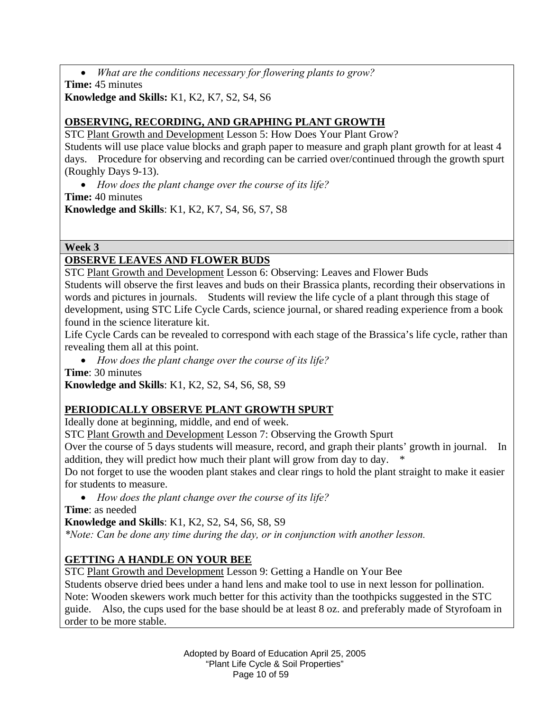• *What are the conditions necessary for flowering plants to grow?*  **Time:** 45 minutes **Knowledge and Skills:** K1, K2, K7, S2, S4, S6

## **OBSERVING, RECORDING, AND GRAPHING PLANT GROWTH**

STC Plant Growth and Development Lesson 5: How Does Your Plant Grow?

Students will use place value blocks and graph paper to measure and graph plant growth for at least 4 days. Procedure for observing and recording can be carried over/continued through the growth spurt (Roughly Days 9-13).

• *How does the plant change over the course of its life?*  **Time:** 40 minutes

**Knowledge and Skills**: K1, K2, K7, S4, S6, S7, S8

### **Week 3**

# **OBSERVE LEAVES AND FLOWER BUDS**

STC Plant Growth and Development Lesson 6: Observing: Leaves and Flower Buds Students will observe the first leaves and buds on their Brassica plants, recording their observations in words and pictures in journals. Students will review the life cycle of a plant through this stage of development, using STC Life Cycle Cards, science journal, or shared reading experience from a book

found in the science literature kit.

Life Cycle Cards can be revealed to correspond with each stage of the Brassica's life cycle, rather than revealing them all at this point.

• *How does the plant change over the course of its life?* 

**Time**: 30 minutes

**Knowledge and Skills**: K1, K2, S2, S4, S6, S8, S9

# **PERIODICALLY OBSERVE PLANT GROWTH SPURT**

Ideally done at beginning, middle, and end of week.

STC Plant Growth and Development Lesson 7: Observing the Growth Spurt

Over the course of 5 days students will measure, record, and graph their plants' growth in journal. In addition, they will predict how much their plant will grow from day to day. \*

Do not forget to use the wooden plant stakes and clear rings to hold the plant straight to make it easier for students to measure.

• *How does the plant change over the course of its life?* 

**Time**: as needed

**Knowledge and Skills**: K1, K2, S2, S4, S6, S8, S9

*\*Note: Can be done any time during the day, or in conjunction with another lesson.* 

# **GETTING A HANDLE ON YOUR BEE**

STC Plant Growth and Development Lesson 9: Getting a Handle on Your Bee

Students observe dried bees under a hand lens and make tool to use in next lesson for pollination. Note: Wooden skewers work much better for this activity than the toothpicks suggested in the STC guide. Also, the cups used for the base should be at least 8 oz. and preferably made of Styrofoam in order to be more stable.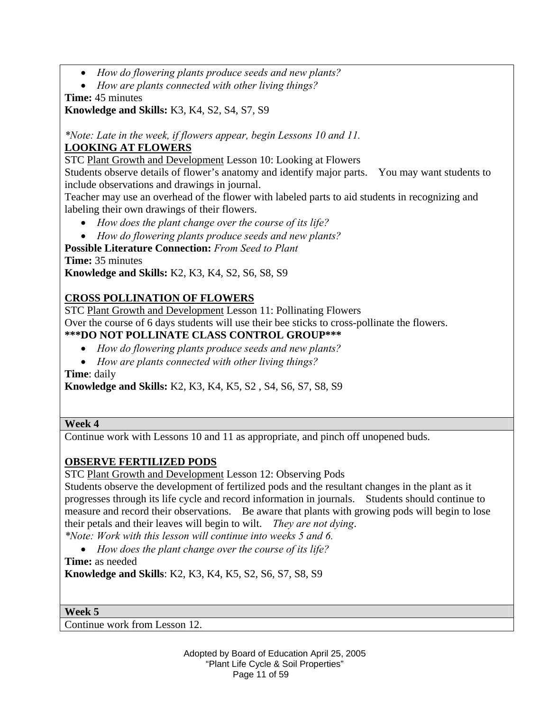- *How do flowering plants produce seeds and new plants?*
- *How are plants connected with other living things?*

**Time:** 45 minutes

**Knowledge and Skills:** K3, K4, S2, S4, S7, S9

### *\*Note: Late in the week, if flowers appear, begin Lessons 10 and 11.*  **LOOKING AT FLOWERS**

STC Plant Growth and Development Lesson 10: Looking at Flowers

Students observe details of flower's anatomy and identify major parts. You may want students to include observations and drawings in journal.

Teacher may use an overhead of the flower with labeled parts to aid students in recognizing and labeling their own drawings of their flowers.

- *How does the plant change over the course of its life?*
- *How do flowering plants produce seeds and new plants?*

**Possible Literature Connection:** *From Seed to Plant*

**Time:** 35 minutes

**Knowledge and Skills:** K2, K3, K4, S2, S6, S8, S9

# **CROSS POLLINATION OF FLOWERS**

STC Plant Growth and Development Lesson 11: Pollinating Flowers

Over the course of 6 days students will use their bee sticks to cross-pollinate the flowers.

# **\*\*\*DO NOT POLLINATE CLASS CONTROL GROUP\*\*\***

- *How do flowering plants produce seeds and new plants?*
- *How are plants connected with other living things?*

**Time**: daily

**Knowledge and Skills:** K2, K3, K4, K5, S2 , S4, S6, S7, S8, S9

### **Week 4**

Continue work with Lessons 10 and 11 as appropriate, and pinch off unopened buds.

# **OBSERVE FERTILIZED PODS**

STC Plant Growth and Development Lesson 12: Observing Pods

Students observe the development of fertilized pods and the resultant changes in the plant as it progresses through its life cycle and record information in journals. Students should continue to measure and record their observations. Be aware that plants with growing pods will begin to lose their petals and their leaves will begin to wilt. *They are not dying*.

*\*Note: Work with this lesson will continue into weeks 5 and 6.*  • *How does the plant change over the course of its life?* 

**Time:** as needed **Knowledge and Skills**: K2, K3, K4, K5, S2, S6, S7, S8, S9

### **Week 5**

Continue work from Lesson 12.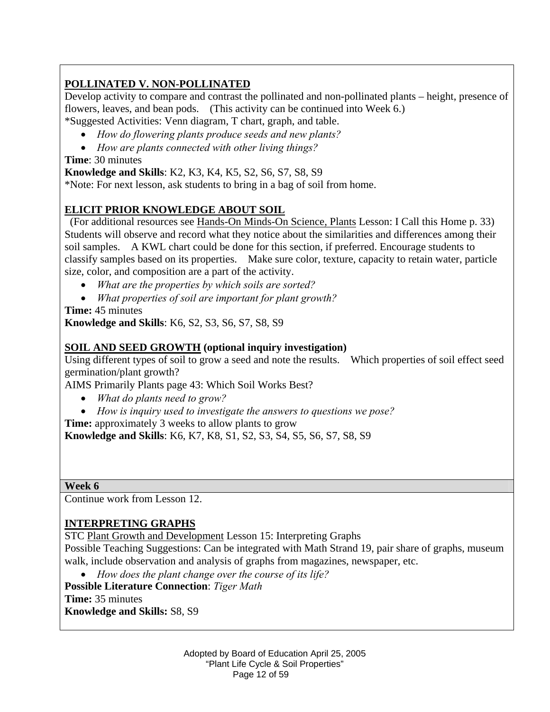# **POLLINATED V. NON-POLLINATED**

Develop activity to compare and contrast the pollinated and non-pollinated plants – height, presence of flowers, leaves, and bean pods. (This activity can be continued into Week 6.) \*Suggested Activities: Venn diagram, T chart, graph, and table.

- *How do flowering plants produce seeds and new plants?*
- *How are plants connected with other living things?*

**Time**: 30 minutes

**Knowledge and Skills**: K2, K3, K4, K5, S2, S6, S7, S8, S9

\*Note: For next lesson, ask students to bring in a bag of soil from home.

# **ELICIT PRIOR KNOWLEDGE ABOUT SOIL**

 (For additional resources see Hands-On Minds-On Science, Plants Lesson: I Call this Home p. 33) Students will observe and record what they notice about the similarities and differences among their soil samples. A KWL chart could be done for this section, if preferred. Encourage students to classify samples based on its properties. Make sure color, texture, capacity to retain water, particle size, color, and composition are a part of the activity.

• *What are the properties by which soils are sorted?* 

• *What properties of soil are important for plant growth?* 

**Time:** 45 minutes **Knowledge and Skills**: K6, S2, S3, S6, S7, S8, S9

# **SOIL AND SEED GROWTH (optional inquiry investigation)**

Using different types of soil to grow a seed and note the results. Which properties of soil effect seed germination/plant growth?

AIMS Primarily Plants page 43: Which Soil Works Best?

- *What do plants need to grow?*
- *How is inquiry used to investigate the answers to questions we pose?*
- **Time:** approximately 3 weeks to allow plants to grow

**Knowledge and Skills**: K6, K7, K8, S1, S2, S3, S4, S5, S6, S7, S8, S9

### **Week 6**

Continue work from Lesson 12.

# **INTERPRETING GRAPHS**

STC Plant Growth and Development Lesson 15: Interpreting Graphs

Possible Teaching Suggestions: Can be integrated with Math Strand 19, pair share of graphs, museum walk, include observation and analysis of graphs from magazines, newspaper, etc.

• *How does the plant change over the course of its life?* 

**Possible Literature Connection**: *Tiger Math*

**Time:** 35 minutes

**Knowledge and Skills:** S8, S9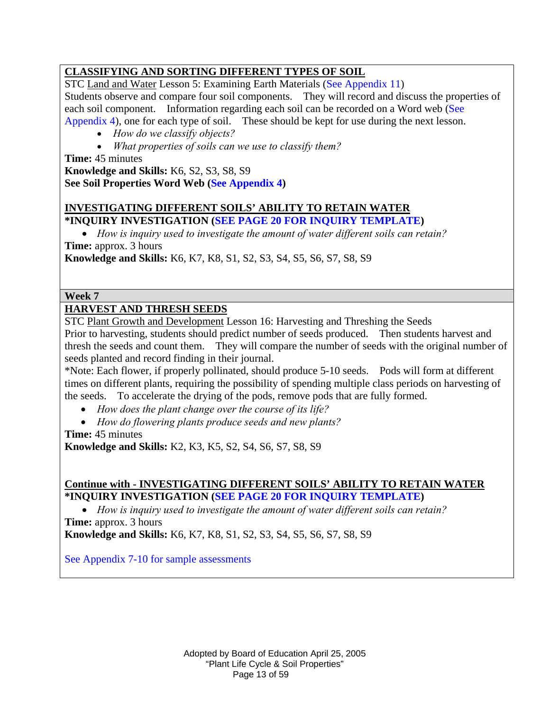# **CLASSIFYING AND SORTING DIFFERENT TYPES OF SOIL**

STC Land and Water Lesson 5: Examining Earth Materials (See Appendix 11)

Students observe and compare four soil components. They will record and discuss the properties of each soil component. Information regarding each soil can be recorded on a Word web (See Appendix 4), one for each type of soil. These should be kept for use during the next lesson.

• *How do we classify objects?* 

• *What properties of soils can we use to classify them?* 

**Time:** 45 minutes

**Knowledge and Skills:** K6, S2, S3, S8, S9

**See Soil Properties Word Web (See Appendix 4)** 

### **INVESTIGATING DIFFERENT SOILS' ABILITY TO RETAIN WATER \*INQUIRY INVESTIGATION (SEE PAGE 20 FOR INQUIRY TEMPLATE)**

• *How is inquiry used to investigate the amount of water different soils can retain?*  **Time:** approx. 3 hours

**Knowledge and Skills:** K6, K7, K8, S1, S2, S3, S4, S5, S6, S7, S8, S9

**Week 7** 

# **HARVEST AND THRESH SEEDS**

STC Plant Growth and Development Lesson 16: Harvesting and Threshing the Seeds Prior to harvesting, students should predict number of seeds produced. Then students harvest and thresh the seeds and count them. They will compare the number of seeds with the original number of seeds planted and record finding in their journal.

\*Note: Each flower, if properly pollinated, should produce 5-10 seeds. Pods will form at different times on different plants, requiring the possibility of spending multiple class periods on harvesting of the seeds. To accelerate the drying of the pods, remove pods that are fully formed.

• *How does the plant change over the course of its life?* 

• *How do flowering plants produce seeds and new plants?* 

**Time:** 45 minutes

**Knowledge and Skills:** K2, K3, K5, S2, S4, S6, S7, S8, S9

# **Continue with - INVESTIGATING DIFFERENT SOILS' ABILITY TO RETAIN WATER**

**\*INQUIRY INVESTIGATION (SEE PAGE 20 FOR INQUIRY TEMPLATE)** 

• *How is inquiry used to investigate the amount of water different soils can retain?*  **Time:** approx. 3 hours

**Knowledge and Skills:** K6, K7, K8, S1, S2, S3, S4, S5, S6, S7, S8, S9

See Appendix 7-10 for sample assessments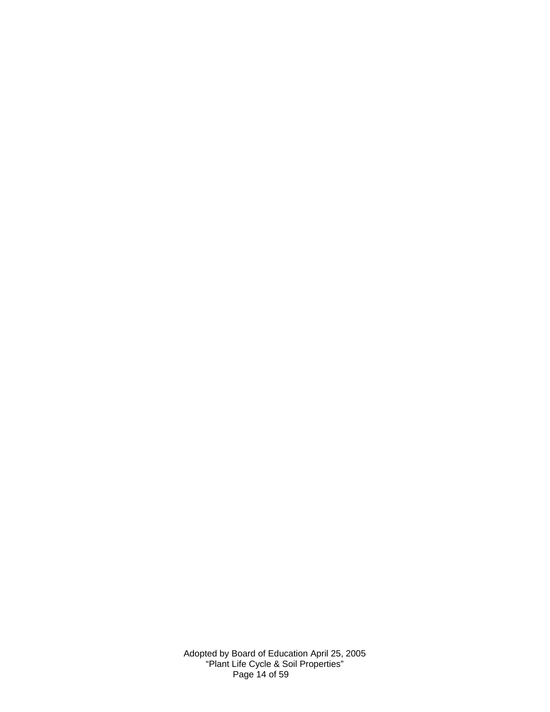Adopted by Board of Education April 25, 2005 "Plant Life Cycle & Soil Properties" Page 14 of 59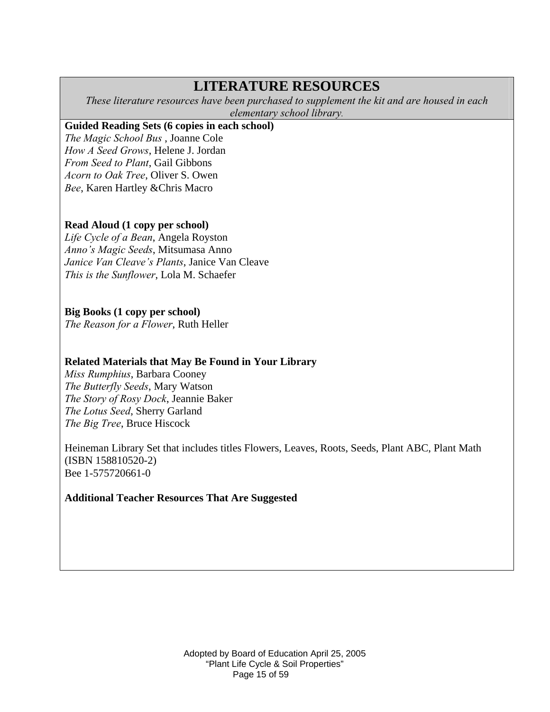# **LITERATURE RESOURCES**

*These literature resources have been purchased to supplement the kit and are housed in each elementary school library.* 

### **Guided Reading Sets (6 copies in each school)**

*The Magic School Bus* , Joanne Cole *How A Seed Grows*, Helene J. Jordan *From Seed to Plant*, Gail Gibbons *Acorn to Oak Tree*, Oliver S. Owen *Bee*, Karen Hartley &Chris Macro

### **Read Aloud (1 copy per school)**

*Life Cycle of a Bean*, Angela Royston *Anno's Magic Seeds*, Mitsumasa Anno *Janice Van Cleave's Plants*, Janice Van Cleave *This is the Sunflower*, Lola M. Schaefer

### **Big Books (1 copy per school)**

*The Reason for a Flower*, Ruth Heller

### **Related Materials that May Be Found in Your Library**

*Miss Rumphius*, Barbara Cooney *The Butterfly Seeds*, Mary Watson *The Story of Rosy Dock*, Jeannie Baker *The Lotus Seed*, Sherry Garland *The Big Tree*, Bruce Hiscock

Heineman Library Set that includes titles Flowers, Leaves, Roots, Seeds, Plant ABC, Plant Math (ISBN 158810520-2) Bee 1-575720661-0

### **Additional Teacher Resources That Are Suggested**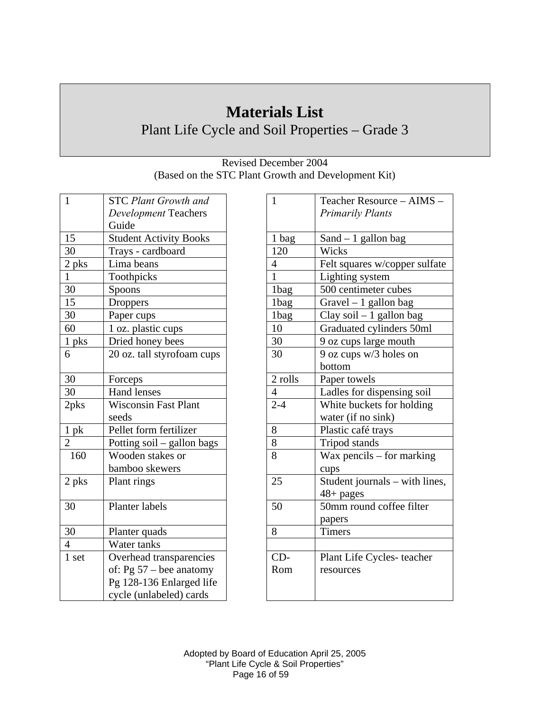# **Materials List**  Plant Life Cycle and Soil Properties – Grade 3

Revised December 2004 (Based on the STC Plant Growth and Development Kit)

| $\mathbf{1}$   | <b>STC Plant Growth and</b>   | $\mathbf{1}$   | Teacher Resource - AIN    |
|----------------|-------------------------------|----------------|---------------------------|
|                | Development Teachers          |                | <b>Primarily Plants</b>   |
|                | Guide                         |                |                           |
| 15             | <b>Student Activity Books</b> | 1 bag          | Sand $-1$ gallon bag      |
| 30             | Trays - cardboard             | 120            | Wicks                     |
| 2 pks          | Lima beans                    | 4              | Felt squares w/copper su  |
| $\mathbf{1}$   | Toothpicks                    | 1              | Lighting system           |
| 30             | Spoons                        | 1bag           | 500 centimeter cubes      |
| 15             | <b>Droppers</b>               | 1bag           | Gravel $-1$ gallon bag    |
| 30             | Paper cups                    | 1bag           | Clay soil $-1$ gallon bag |
| 60             | 1 oz. plastic cups            | 10             | Graduated cylinders 50n   |
| 1 pks          | Dried honey bees              | 30             | 9 oz cups large mouth     |
| 6              | 20 oz. tall styrofoam cups    | 30             | 9 oz cups w/3 holes on    |
|                |                               |                | bottom                    |
| 30             | Forceps                       | 2 rolls        | Paper towels              |
| 30             | Hand lenses                   | $\overline{4}$ | Ladles for dispensing so  |
| 2pks           | <b>Wisconsin Fast Plant</b>   | $2 - 4$        | White buckets for holdin  |
|                | seeds                         |                | water (if no sink)        |
| $1$ p $k$      | Pellet form fertilizer        | 8              | Plastic café trays        |
| $\overline{2}$ | Potting soil – gallon bags    | 8              | Tripod stands             |
| 160            | Wooden stakes or              | 8              | Wax pencils - for marki   |
|                | bamboo skewers                |                | cups                      |
| 2 pks          | Plant rings                   | 25             | Student journals - with I |
|                |                               |                | $48 +$ pages              |
| 30             | Planter labels                | 50             | 50mm round coffee filte   |
|                |                               |                | papers                    |
| 30             | Planter quads                 | 8              | <b>Timers</b>             |
| $\overline{4}$ | Water tanks                   |                |                           |
| 1 set          | Overhead transparencies       | CD-            | Plant Life Cycles-teach   |
|                | of: Pg $57$ – bee anatomy     | Rom            | resources                 |
|                | Pg 128-136 Enlarged life      |                |                           |
|                | cycle (unlabeled) cards       |                |                           |

| $\overline{1}$                  | <b>STC Plant Growth and</b>   | $\mathbf{1}$   | Teacher Resource - AIMS -      |
|---------------------------------|-------------------------------|----------------|--------------------------------|
|                                 | Development Teachers          |                | <b>Primarily Plants</b>        |
|                                 | Guide                         |                |                                |
| 15                              | <b>Student Activity Books</b> | 1 bag          | Sand $-1$ gallon bag           |
| $\overline{30}$                 | Trays - cardboard             | 120            | Wicks                          |
| $\frac{2 \text{ pks}}{1}$<br>30 | Lima beans                    | $\overline{4}$ | Felt squares w/copper sulfate  |
|                                 | Toothpicks                    | $\mathbf{1}$   | Lighting system                |
|                                 | Spoons                        | 1bag           | 500 centimeter cubes           |
| 15                              | <b>Droppers</b>               | 1bag           | Gravel $-1$ gallon bag         |
| $\overline{30}$                 | Paper cups                    | 1bag           | Clay soil $-1$ gallon bag      |
| 60                              | 1 oz. plastic cups            | 10             | Graduated cylinders 50ml       |
| 1 pks                           | Dried honey bees              | 30             | 9 oz cups large mouth          |
| $\overline{6}$                  | 20 oz. tall styrofoam cups    | 30             | 9 oz cups w/3 holes on         |
|                                 |                               |                | bottom                         |
| 30                              | Forceps                       | 2 rolls        | Paper towels                   |
| 30                              | Hand lenses                   | $\overline{4}$ | Ladles for dispensing soil     |
| 2pks                            | <b>Wisconsin Fast Plant</b>   | $2 - 4$        | White buckets for holding      |
|                                 | seeds                         |                | water (if no sink)             |
| $rac{1}{2}$ pk                  | Pellet form fertilizer        | 8              | Plastic café trays             |
|                                 | Potting soil – gallon bags    | 8              | Tripod stands                  |
| 160                             | Wooden stakes or              | 8              | Wax pencils $-$ for marking    |
|                                 | bamboo skewers                |                | cups                           |
| 2 pks                           | Plant rings                   | 25             | Student journals – with lines, |
|                                 |                               |                | $48 + pages$                   |
| $\overline{30}$                 | Planter labels                | 50             | 50mm round coffee filter       |
|                                 |                               |                | papers                         |
| 30 <sub>2</sub>                 | Planter quads                 | 8              | <b>Timers</b>                  |
| $\overline{4}$                  | Water tanks                   |                |                                |
| 1 set                           | Overhead transparencies       | $CD-$          | Plant Life Cycles-teacher      |
|                                 | of: Pg $57 -$ bee anatomy     | Rom            | resources                      |
|                                 | Pg 128-136 Enlarged life      |                |                                |
|                                 | cycle (unlabeled) cards       |                |                                |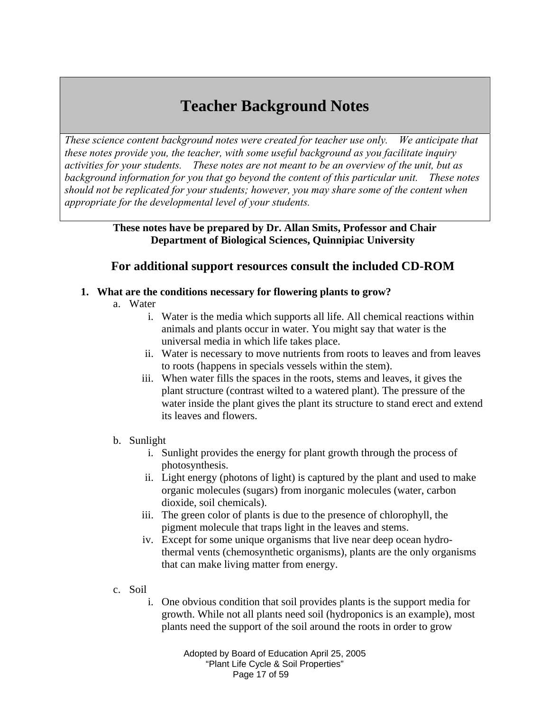# **Teacher Background Notes**

*These science content background notes were created for teacher use only. We anticipate that these notes provide you, the teacher, with some useful background as you facilitate inquiry activities for your students. These notes are not meant to be an overview of the unit, but as background information for you that go beyond the content of this particular unit. These notes should not be replicated for your students; however, you may share some of the content when appropriate for the developmental level of your students.* 

> **These notes have be prepared by Dr. Allan Smits, Professor and Chair Department of Biological Sciences, Quinnipiac University**

# **For additional support resources consult the included CD-ROM**

### **1. What are the conditions necessary for flowering plants to grow?**

- a. Water
	- i. Water is the media which supports all life. All chemical reactions within animals and plants occur in water. You might say that water is the universal media in which life takes place.
	- ii. Water is necessary to move nutrients from roots to leaves and from leaves to roots (happens in specials vessels within the stem).
	- iii. When water fills the spaces in the roots, stems and leaves, it gives the plant structure (contrast wilted to a watered plant). The pressure of the water inside the plant gives the plant its structure to stand erect and extend its leaves and flowers.

### b. Sunlight

- i. Sunlight provides the energy for plant growth through the process of photosynthesis.
- ii. Light energy (photons of light) is captured by the plant and used to make organic molecules (sugars) from inorganic molecules (water, carbon dioxide, soil chemicals).
- iii. The green color of plants is due to the presence of chlorophyll, the pigment molecule that traps light in the leaves and stems.
- iv. Except for some unique organisms that live near deep ocean hydrothermal vents (chemosynthetic organisms), plants are the only organisms that can make living matter from energy.
- c. Soil
	- i. One obvious condition that soil provides plants is the support media for growth. While not all plants need soil (hydroponics is an example), most plants need the support of the soil around the roots in order to grow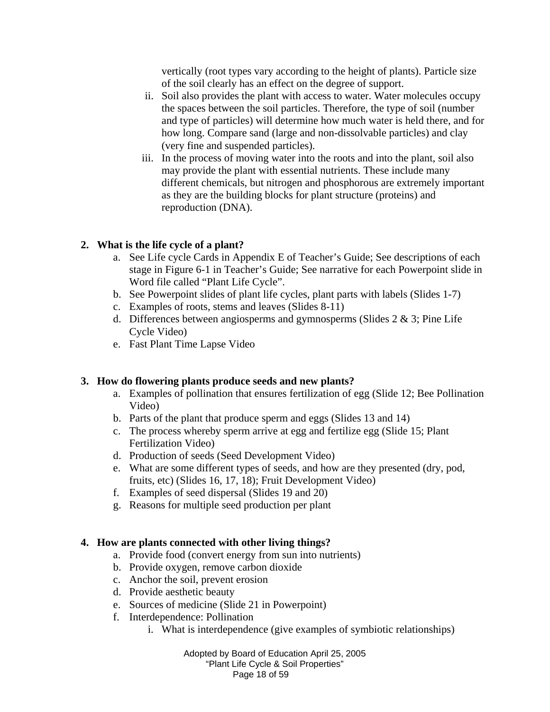vertically (root types vary according to the height of plants). Particle size of the soil clearly has an effect on the degree of support.

- ii. Soil also provides the plant with access to water. Water molecules occupy the spaces between the soil particles. Therefore, the type of soil (number and type of particles) will determine how much water is held there, and for how long. Compare sand (large and non-dissolvable particles) and clay (very fine and suspended particles).
- iii. In the process of moving water into the roots and into the plant, soil also may provide the plant with essential nutrients. These include many different chemicals, but nitrogen and phosphorous are extremely important as they are the building blocks for plant structure (proteins) and reproduction (DNA).

## **2. What is the life cycle of a plant?**

- a. See Life cycle Cards in Appendix E of Teacher's Guide; See descriptions of each stage in Figure 6-1 in Teacher's Guide; See narrative for each Powerpoint slide in Word file called "Plant Life Cycle".
- b. See Powerpoint slides of plant life cycles, plant parts with labels (Slides 1-7)
- c. Examples of roots, stems and leaves (Slides 8-11)
- d. Differences between angiosperms and gymnosperms (Slides  $2 \& 3$ ; Pine Life Cycle Video)
- e. Fast Plant Time Lapse Video

### **3. How do flowering plants produce seeds and new plants?**

- a. Examples of pollination that ensures fertilization of egg (Slide 12; Bee Pollination Video)
- b. Parts of the plant that produce sperm and eggs (Slides 13 and 14)
- c. The process whereby sperm arrive at egg and fertilize egg (Slide 15; Plant Fertilization Video)
- d. Production of seeds (Seed Development Video)
- e. What are some different types of seeds, and how are they presented (dry, pod, fruits, etc) (Slides 16, 17, 18); Fruit Development Video)
- f. Examples of seed dispersal (Slides 19 and 20)
- g. Reasons for multiple seed production per plant

### **4. How are plants connected with other living things?**

- a. Provide food (convert energy from sun into nutrients)
- b. Provide oxygen, remove carbon dioxide
- c. Anchor the soil, prevent erosion
- d. Provide aesthetic beauty
- e. Sources of medicine (Slide 21 in Powerpoint)
- f. Interdependence: Pollination
	- i. What is interdependence (give examples of symbiotic relationships)

Adopted by Board of Education April 25, 2005 "Plant Life Cycle & Soil Properties" Page 18 of 59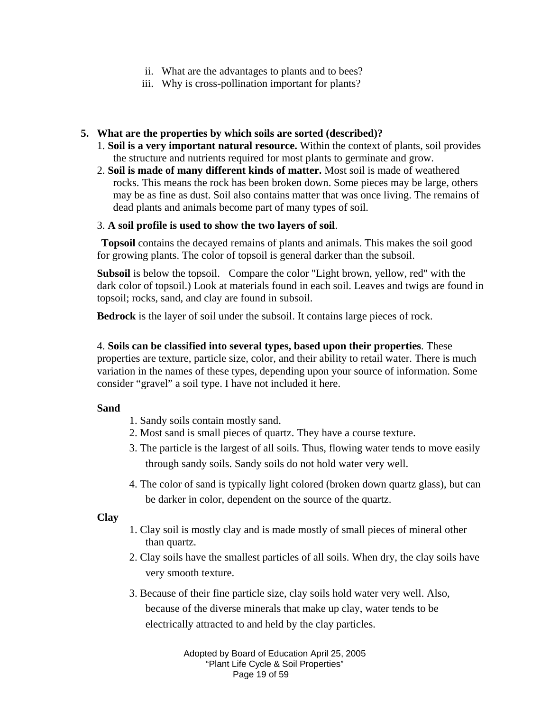- ii. What are the advantages to plants and to bees?
- iii. Why is cross-pollination important for plants?

### **5. What are the properties by which soils are sorted (described)?**

- 1. **Soil is a very important natural resource.** Within the context of plants, soil provides the structure and nutrients required for most plants to germinate and grow.
- 2. **Soil is made of many different kinds of matter.** Most soil is made of weathered rocks. This means the rock has been broken down. Some pieces may be large, others may be as fine as dust. Soil also contains matter that was once living. The remains of dead plants and animals become part of many types of soil.

### 3. **A soil profile is used to show the two layers of soil**.

**Topsoil** contains the decayed remains of plants and animals. This makes the soil good for growing plants. The color of topsoil is general darker than the subsoil.

**Subsoil** is below the topsoil. Compare the color "Light brown, yellow, red" with the dark color of topsoil.) Look at materials found in each soil. Leaves and twigs are found in topsoil; rocks, sand, and clay are found in subsoil.

**Bedrock** is the layer of soil under the subsoil. It contains large pieces of rock.

4. **Soils can be classified into several types, based upon their properties**. These properties are texture, particle size, color, and their ability to retail water. There is much variation in the names of these types, depending upon your source of information. Some consider "gravel" a soil type. I have not included it here.

#### **Sand**

- 1. Sandy soils contain mostly sand.
- 2. Most sand is small pieces of quartz. They have a course texture.
- 3. The particle is the largest of all soils. Thus, flowing water tends to move easily through sandy soils. Sandy soils do not hold water very well.
- 4. The color of sand is typically light colored (broken down quartz glass), but can be darker in color, dependent on the source of the quartz.

#### **Clay**

- 1. Clay soil is mostly clay and is made mostly of small pieces of mineral other than quartz.
- 2. Clay soils have the smallest particles of all soils. When dry, the clay soils have very smooth texture.
- 3. Because of their fine particle size, clay soils hold water very well. Also, because of the diverse minerals that make up clay, water tends to be electrically attracted to and held by the clay particles.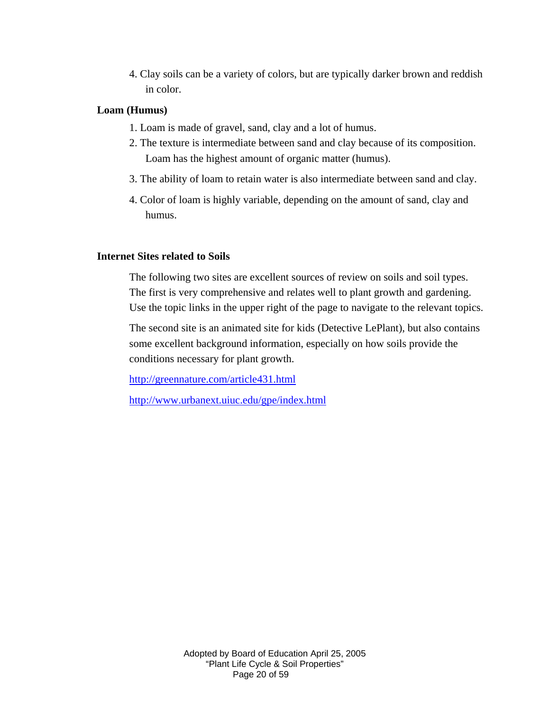4. Clay soils can be a variety of colors, but are typically darker brown and reddish in color.

### **Loam (Humus)**

- 1. Loam is made of gravel, sand, clay and a lot of humus.
- 2. The texture is intermediate between sand and clay because of its composition. Loam has the highest amount of organic matter (humus).
- 3. The ability of loam to retain water is also intermediate between sand and clay.
- 4. Color of loam is highly variable, depending on the amount of sand, clay and humus.

#### **Internet Sites related to Soils**

The following two sites are excellent sources of review on soils and soil types. The first is very comprehensive and relates well to plant growth and gardening. Use the topic links in the upper right of the page to navigate to the relevant topics.

The second site is an animated site for kids (Detective LePlant), but also contains some excellent background information, especially on how soils provide the conditions necessary for plant growth.

http://greennature.com/article431.html

http://www.urbanext.uiuc.edu/gpe/index.html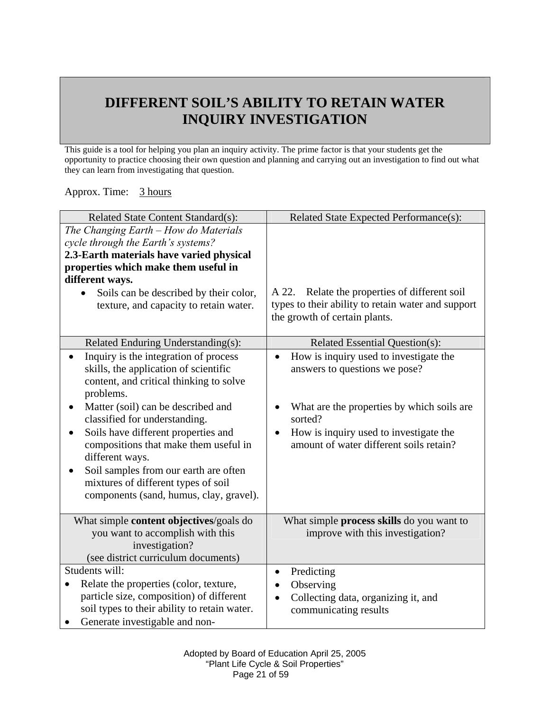# **DIFFERENT SOIL'S ABILITY TO RETAIN WATER INQUIRY INVESTIGATION**

This guide is a tool for helping you plan an inquiry activity. The prime factor is that your students get the opportunity to practice choosing their own question and planning and carrying out an investigation to find out what they can learn from investigating that question.

# Approx. Time: 3 hours

| Related State Content Standard(s):                                          | Related State Expected Performance(s):                                        |
|-----------------------------------------------------------------------------|-------------------------------------------------------------------------------|
| The Changing Earth – How do Materials                                       |                                                                               |
| cycle through the Earth's systems?                                          |                                                                               |
| 2.3-Earth materials have varied physical                                    |                                                                               |
| properties which make them useful in                                        |                                                                               |
| different ways.                                                             |                                                                               |
| Soils can be described by their color,                                      | A 22. Relate the properties of different soil                                 |
| texture, and capacity to retain water.                                      | types to their ability to retain water and support                            |
|                                                                             | the growth of certain plants.                                                 |
| Related Enduring Understanding(s):                                          | Related Essential Question(s):                                                |
| Inquiry is the integration of process<br>$\bullet$                          | How is inquiry used to investigate the<br>$\bullet$                           |
| skills, the application of scientific                                       | answers to questions we pose?                                                 |
| content, and critical thinking to solve                                     |                                                                               |
| problems.                                                                   |                                                                               |
| Matter (soil) can be described and<br>$\bullet$                             | What are the properties by which soils are                                    |
| classified for understanding.                                               | sorted?                                                                       |
| Soils have different properties and<br>$\bullet$                            | How is inquiry used to investigate the<br>$\bullet$                           |
| compositions that make them useful in                                       | amount of water different soils retain?                                       |
| different ways.                                                             |                                                                               |
| Soil samples from our earth are often<br>$\bullet$                          |                                                                               |
| mixtures of different types of soil                                         |                                                                               |
| components (sand, humus, clay, gravel).                                     |                                                                               |
|                                                                             |                                                                               |
| What simple content objectives/goals do<br>you want to accomplish with this | What simple process skills do you want to<br>improve with this investigation? |
| investigation?                                                              |                                                                               |
| (see district curriculum documents)                                         |                                                                               |
| Students will:                                                              | Predicting<br>$\bullet$                                                       |
| Relate the properties (color, texture,                                      | Observing                                                                     |
| particle size, composition) of different                                    | Collecting data, organizing it, and<br>$\bullet$                              |
| soil types to their ability to retain water.                                | communicating results                                                         |
| Generate investigable and non-                                              |                                                                               |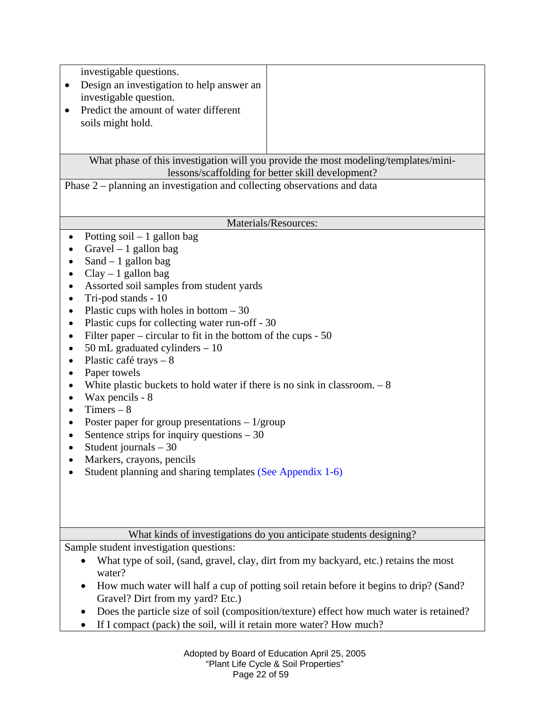| investigable questions.                                                    |                                                                                         |  |  |
|----------------------------------------------------------------------------|-----------------------------------------------------------------------------------------|--|--|
| Design an investigation to help answer an                                  |                                                                                         |  |  |
| investigable question.                                                     |                                                                                         |  |  |
| Predict the amount of water different                                      |                                                                                         |  |  |
| soils might hold.                                                          |                                                                                         |  |  |
|                                                                            |                                                                                         |  |  |
|                                                                            |                                                                                         |  |  |
|                                                                            | What phase of this investigation will you provide the most modeling/templates/mini-     |  |  |
|                                                                            |                                                                                         |  |  |
|                                                                            | lessons/scaffolding for better skill development?                                       |  |  |
| Phase $2$ – planning an investigation and collecting observations and data |                                                                                         |  |  |
|                                                                            |                                                                                         |  |  |
|                                                                            | Materials/Resources:                                                                    |  |  |
| Potting soil $-1$ gallon bag<br>$\bullet$                                  |                                                                                         |  |  |
|                                                                            |                                                                                         |  |  |
| Gravel $-1$ gallon bag                                                     |                                                                                         |  |  |
| Sand $-1$ gallon bag                                                       |                                                                                         |  |  |
| $Clay - 1$ gallon bag                                                      |                                                                                         |  |  |
| Assorted soil samples from student yards                                   |                                                                                         |  |  |
| Tri-pod stands - 10<br>$\bullet$                                           |                                                                                         |  |  |
| Plastic cups with holes in bottom $-30$<br>$\bullet$                       |                                                                                         |  |  |
| Plastic cups for collecting water run-off - 30<br>$\bullet$                |                                                                                         |  |  |
| Filter paper – circular to fit in the bottom of the cups $-50$<br>٠        |                                                                                         |  |  |
| 50 mL graduated cylinders $-10$<br>٠                                       |                                                                                         |  |  |
| Plastic café trays $-8$                                                    |                                                                                         |  |  |
| Paper towels<br>$\bullet$                                                  |                                                                                         |  |  |
| White plastic buckets to hold water if there is no sink in classroom. $-8$ |                                                                                         |  |  |
| Wax pencils - 8                                                            |                                                                                         |  |  |
| $Timers - 8$                                                               |                                                                                         |  |  |
| Poster paper for group presentations $-1/\text{group}$<br>$\bullet$        |                                                                                         |  |  |
| Sentence strips for inquiry questions $-30$                                |                                                                                         |  |  |
| Student journals - 30                                                      |                                                                                         |  |  |
| Markers, crayons, pencils<br>$\bullet$                                     |                                                                                         |  |  |
| Student planning and sharing templates (See Appendix 1-6)                  |                                                                                         |  |  |
|                                                                            |                                                                                         |  |  |
|                                                                            |                                                                                         |  |  |
|                                                                            |                                                                                         |  |  |
|                                                                            |                                                                                         |  |  |
| What kinds of investigations do you anticipate students designing?         |                                                                                         |  |  |
| Sample student investigation questions:                                    |                                                                                         |  |  |
|                                                                            | What type of soil, (sand, gravel, clay, dirt from my backyard, etc.) retains the most   |  |  |
| water?                                                                     |                                                                                         |  |  |
| ٠                                                                          | How much water will half a cup of potting soil retain before it begins to drip? (Sand?  |  |  |
| Gravel? Dirt from my yard? Etc.)                                           |                                                                                         |  |  |
|                                                                            | Does the particle size of soil (composition/texture) effect how much water is retained? |  |  |
| If I compact (pack) the soil, will it retain more water? How much?         |                                                                                         |  |  |
|                                                                            |                                                                                         |  |  |
|                                                                            |                                                                                         |  |  |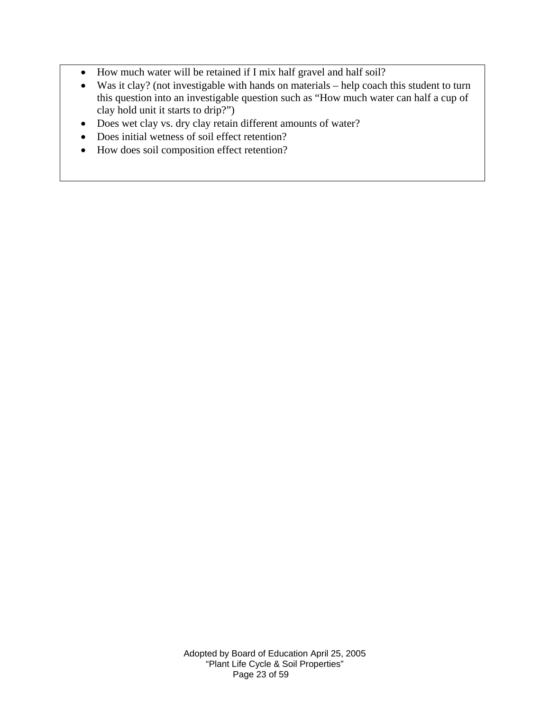- How much water will be retained if I mix half gravel and half soil?
- Was it clay? (not investigable with hands on materials help coach this student to turn this question into an investigable question such as "How much water can half a cup of clay hold unit it starts to drip?")
- Does wet clay vs. dry clay retain different amounts of water?
- Does initial wetness of soil effect retention?
- How does soil composition effect retention?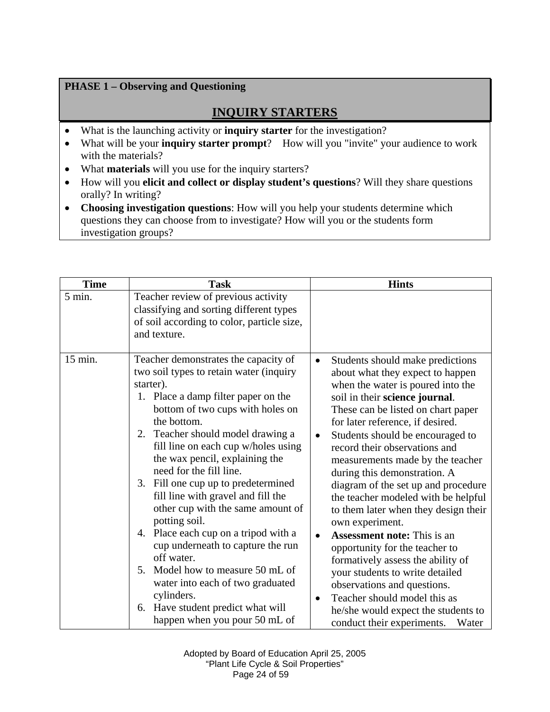# **PHASE 1 – Observing and Questioning**

# **INQUIRY STARTERS**

- What is the launching activity or **inquiry starter** for the investigation?
- What will be your **inquiry starter prompt**? How will you "invite" your audience to work with the materials?
- What **materials** will you use for the inquiry starters?
- How will you **elicit and collect or display student's questions**? Will they share questions orally? In writing?
- **Choosing investigation questions**: How will you help your students determine which questions they can choose from to investigate? How will you or the students form investigation groups?

| <b>Time</b> | <b>Task</b>                                                                                                                                                                                                                                                                                                                                                                                                                                                                                                                                                                                                                                                                                                                           | <b>Hints</b>                                                                                                                                                                                                                                                                                                                                                                                                                                                                                                                                                                                                                                                                                                                                                                                                                   |
|-------------|---------------------------------------------------------------------------------------------------------------------------------------------------------------------------------------------------------------------------------------------------------------------------------------------------------------------------------------------------------------------------------------------------------------------------------------------------------------------------------------------------------------------------------------------------------------------------------------------------------------------------------------------------------------------------------------------------------------------------------------|--------------------------------------------------------------------------------------------------------------------------------------------------------------------------------------------------------------------------------------------------------------------------------------------------------------------------------------------------------------------------------------------------------------------------------------------------------------------------------------------------------------------------------------------------------------------------------------------------------------------------------------------------------------------------------------------------------------------------------------------------------------------------------------------------------------------------------|
| 5 min.      | Teacher review of previous activity<br>classifying and sorting different types<br>of soil according to color, particle size,<br>and texture.                                                                                                                                                                                                                                                                                                                                                                                                                                                                                                                                                                                          |                                                                                                                                                                                                                                                                                                                                                                                                                                                                                                                                                                                                                                                                                                                                                                                                                                |
| 15 min.     | Teacher demonstrates the capacity of<br>two soil types to retain water (inquiry<br>starter).<br>1. Place a damp filter paper on the<br>bottom of two cups with holes on<br>the bottom.<br>Teacher should model drawing a<br>2.<br>fill line on each cup w/holes using<br>the wax pencil, explaining the<br>need for the fill line.<br>3. Fill one cup up to predetermined<br>fill line with gravel and fill the<br>other cup with the same amount of<br>potting soil.<br>Place each cup on a tripod with a<br>4.<br>cup underneath to capture the run<br>off water.<br>Model how to measure 50 mL of<br>5.<br>water into each of two graduated<br>cylinders.<br>Have student predict what will<br>6.<br>happen when you pour 50 mL of | Students should make predictions<br>$\bullet$<br>about what they expect to happen<br>when the water is poured into the<br>soil in their science journal.<br>These can be listed on chart paper<br>for later reference, if desired.<br>Students should be encouraged to<br>record their observations and<br>measurements made by the teacher<br>during this demonstration. A<br>diagram of the set up and procedure<br>the teacher modeled with be helpful<br>to them later when they design their<br>own experiment.<br><b>Assessment note:</b> This is an<br>opportunity for the teacher to<br>formatively assess the ability of<br>your students to write detailed<br>observations and questions.<br>Teacher should model this as<br>$\bullet$<br>he/she would expect the students to<br>conduct their experiments.<br>Water |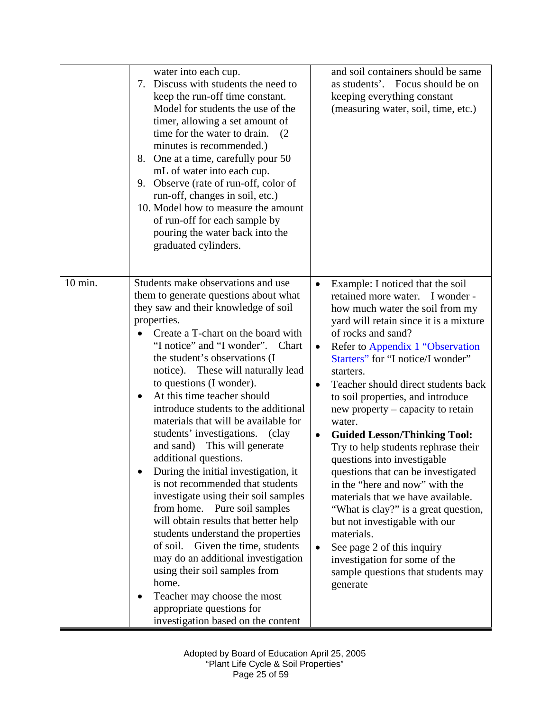|         | water into each cup.<br>Discuss with students the need to<br>7.<br>keep the run-off time constant.<br>Model for students the use of the<br>timer, allowing a set amount of<br>time for the water to drain.<br>(2)<br>minutes is recommended.)<br>One at a time, carefully pour 50<br>8.<br>mL of water into each cup.<br>9. Observe (rate of run-off, color of<br>run-off, changes in soil, etc.)<br>10. Model how to measure the amount<br>of run-off for each sample by<br>pouring the water back into the<br>graduated cylinders.                                                                                                                                                                                                                                                                                                                                                                                                                                                                | and soil containers should be same<br>as students'. Focus should be on<br>keeping everything constant<br>(measuring water, soil, time, etc.)                                                                                                                                                                                                                                                                                                                                                                                                                                                                                                                                                                                                                                                                                                                                               |
|---------|-----------------------------------------------------------------------------------------------------------------------------------------------------------------------------------------------------------------------------------------------------------------------------------------------------------------------------------------------------------------------------------------------------------------------------------------------------------------------------------------------------------------------------------------------------------------------------------------------------------------------------------------------------------------------------------------------------------------------------------------------------------------------------------------------------------------------------------------------------------------------------------------------------------------------------------------------------------------------------------------------------|--------------------------------------------------------------------------------------------------------------------------------------------------------------------------------------------------------------------------------------------------------------------------------------------------------------------------------------------------------------------------------------------------------------------------------------------------------------------------------------------------------------------------------------------------------------------------------------------------------------------------------------------------------------------------------------------------------------------------------------------------------------------------------------------------------------------------------------------------------------------------------------------|
| 10 min. | Students make observations and use<br>them to generate questions about what<br>they saw and their knowledge of soil<br>properties.<br>Create a T-chart on the board with<br>"I notice" and "I wonder". Chart<br>the student's observations (I<br>notice). These will naturally lead<br>to questions (I wonder).<br>At this time teacher should<br>$\bullet$<br>introduce students to the additional<br>materials that will be available for<br>students' investigations. (clay<br>and sand) This will generate<br>additional questions.<br>During the initial investigation, it<br>is not recommended that students<br>investigate using their soil samples<br>from home. Pure soil samples<br>will obtain results that better help<br>students understand the properties<br>Given the time, students<br>of soil.<br>may do an additional investigation<br>using their soil samples from<br>home.<br>Teacher may choose the most<br>appropriate questions for<br>investigation based on the content | Example: I noticed that the soil<br>$\bullet$<br>retained more water. I wonder -<br>how much water the soil from my<br>yard will retain since it is a mixture<br>of rocks and sand?<br>Refer to Appendix 1 "Observation<br>$\bullet$<br>Starters" for "I notice/I wonder"<br>starters.<br>Teacher should direct students back<br>$\bullet$<br>to soil properties, and introduce<br>new property – capacity to retain<br>water.<br><b>Guided Lesson/Thinking Tool:</b><br>$\bullet$<br>Try to help students rephrase their<br>questions into investigable<br>questions that can be investigated<br>in the "here and now" with the<br>materials that we have available.<br>"What is clay?" is a great question,<br>but not investigable with our<br>materials.<br>See page 2 of this inquiry<br>$\bullet$<br>investigation for some of the<br>sample questions that students may<br>generate |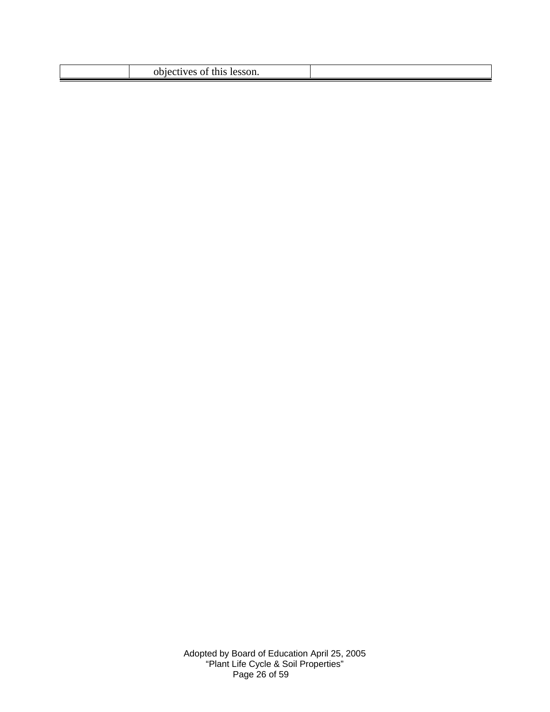|  |  | .<br>.<br>ാാ∪ப.<br>.<br>. .<br>. . |  |
|--|--|------------------------------------|--|
|--|--|------------------------------------|--|

Adopted by Board of Education April 25, 2005 "Plant Life Cycle & Soil Properties" Page 26 of 59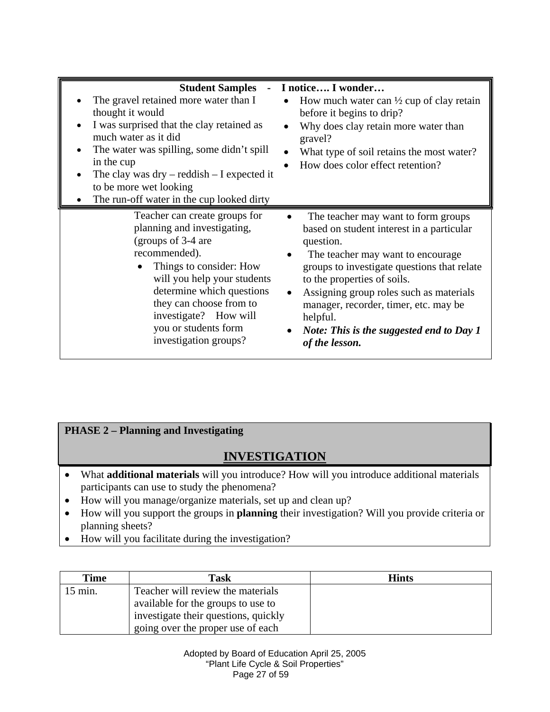| <b>Student Samples</b><br>The gravel retained more water than I<br>thought it would<br>I was surprised that the clay retained as<br>much water as it did<br>The water was spilling, some didn't spill<br>٠<br>in the cup<br>The clay was $\text{dry}$ – reddish – I expected it<br>to be more wet looking<br>The run-off water in the cup looked dirty | I notice I wonder<br>How much water can $\frac{1}{2}$ cup of clay retain<br>before it begins to drip?<br>Why does clay retain more water than<br>gravel?<br>What type of soil retains the most water?<br>How does color effect retention? |
|--------------------------------------------------------------------------------------------------------------------------------------------------------------------------------------------------------------------------------------------------------------------------------------------------------------------------------------------------------|-------------------------------------------------------------------------------------------------------------------------------------------------------------------------------------------------------------------------------------------|
| Teacher can create groups for                                                                                                                                                                                                                                                                                                                          | The teacher may want to form groups                                                                                                                                                                                                       |
| planning and investigating,                                                                                                                                                                                                                                                                                                                            | based on student interest in a particular                                                                                                                                                                                                 |
| (groups of 3-4 are                                                                                                                                                                                                                                                                                                                                     | question.                                                                                                                                                                                                                                 |
| recommended).                                                                                                                                                                                                                                                                                                                                          | The teacher may want to encourage                                                                                                                                                                                                         |
| Things to consider: How                                                                                                                                                                                                                                                                                                                                | groups to investigate questions that relate                                                                                                                                                                                               |
| will you help your students                                                                                                                                                                                                                                                                                                                            | to the properties of soils.                                                                                                                                                                                                               |
| determine which questions                                                                                                                                                                                                                                                                                                                              | Assigning group roles such as materials                                                                                                                                                                                                   |
| they can choose from to                                                                                                                                                                                                                                                                                                                                | manager, recorder, timer, etc. may be                                                                                                                                                                                                     |
| investigate? How will                                                                                                                                                                                                                                                                                                                                  | helpful.                                                                                                                                                                                                                                  |
| you or students form                                                                                                                                                                                                                                                                                                                                   | Note: This is the suggested end to Day 1                                                                                                                                                                                                  |
| investigation groups?                                                                                                                                                                                                                                                                                                                                  | of the lesson.                                                                                                                                                                                                                            |

# **PHASE 2 – Planning and Investigating**

# **INVESTIGATION**

- What **additional materials** will you introduce? How will you introduce additional materials participants can use to study the phenomena?
- How will you manage/organize materials, set up and clean up?
- How will you support the groups in **planning** their investigation? Will you provide criteria or planning sheets?
- How will you facilitate during the investigation?

| <b>Time</b> | Task                                 | <b>Hints</b> |
|-------------|--------------------------------------|--------------|
| 15 min.     | Teacher will review the materials    |              |
|             | available for the groups to use to   |              |
|             | investigate their questions, quickly |              |
|             | going over the proper use of each    |              |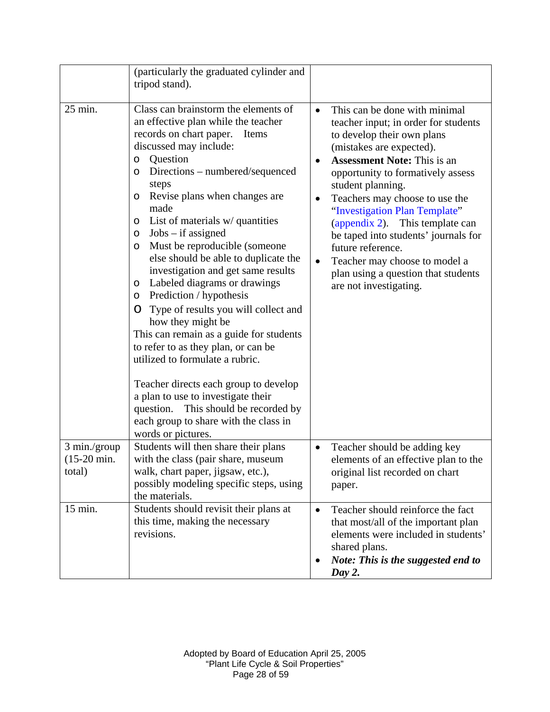|                                  | (particularly the graduated cylinder and<br>tripod stand).                                                                                                                                                                                                                                                                                                                                                                                                                                                                                                                                                                                                                                                                                                                                                                                                                                                    |                                                                                                                                                                                                                                                                                                                                                                                                                                                                                                                                                             |
|----------------------------------|---------------------------------------------------------------------------------------------------------------------------------------------------------------------------------------------------------------------------------------------------------------------------------------------------------------------------------------------------------------------------------------------------------------------------------------------------------------------------------------------------------------------------------------------------------------------------------------------------------------------------------------------------------------------------------------------------------------------------------------------------------------------------------------------------------------------------------------------------------------------------------------------------------------|-------------------------------------------------------------------------------------------------------------------------------------------------------------------------------------------------------------------------------------------------------------------------------------------------------------------------------------------------------------------------------------------------------------------------------------------------------------------------------------------------------------------------------------------------------------|
| 25 min.                          | Class can brainstorm the elements of<br>an effective plan while the teacher<br>records on chart paper.<br>Items<br>discussed may include:<br>Question<br>$\circ$<br>Directions – numbered/sequenced<br>O<br>steps<br>Revise plans when changes are<br>O<br>made<br>List of materials w/ quantities<br>O<br>$Jobs - if assigned$<br>O<br>Must be reproducible (someone<br>O<br>else should be able to duplicate the<br>investigation and get same results<br>Labeled diagrams or drawings<br>O<br>Prediction / hypothesis<br>O<br>Type of results you will collect and<br>O<br>how they might be<br>This can remain as a guide for students<br>to refer to as they plan, or can be<br>utilized to formulate a rubric.<br>Teacher directs each group to develop<br>a plan to use to investigate their<br>question.<br>This should be recorded by<br>each group to share with the class in<br>words or pictures. | This can be done with minimal<br>$\bullet$<br>teacher input; in order for students<br>to develop their own plans<br>(mistakes are expected).<br><b>Assessment Note: This is an</b><br>$\bullet$<br>opportunity to formatively assess<br>student planning.<br>Teachers may choose to use the<br>$\bullet$<br>"Investigation Plan Template"<br>(appendix 2).<br>This template can<br>be taped into students' journals for<br>future reference.<br>Teacher may choose to model a<br>$\bullet$<br>plan using a question that students<br>are not investigating. |
| 3 min./group                     | Students will then share their plans                                                                                                                                                                                                                                                                                                                                                                                                                                                                                                                                                                                                                                                                                                                                                                                                                                                                          | Teacher should be adding key<br>$\bullet$                                                                                                                                                                                                                                                                                                                                                                                                                                                                                                                   |
| $(15-20 \text{ min.})$<br>total) | with the class (pair share, museum<br>walk, chart paper, jigsaw, etc.),                                                                                                                                                                                                                                                                                                                                                                                                                                                                                                                                                                                                                                                                                                                                                                                                                                       | elements of an effective plan to the<br>original list recorded on chart                                                                                                                                                                                                                                                                                                                                                                                                                                                                                     |
|                                  | possibly modeling specific steps, using<br>the materials.                                                                                                                                                                                                                                                                                                                                                                                                                                                                                                                                                                                                                                                                                                                                                                                                                                                     | paper.                                                                                                                                                                                                                                                                                                                                                                                                                                                                                                                                                      |
| 15 min.                          | Students should revisit their plans at<br>this time, making the necessary<br>revisions.                                                                                                                                                                                                                                                                                                                                                                                                                                                                                                                                                                                                                                                                                                                                                                                                                       | Teacher should reinforce the fact<br>$\bullet$<br>that most/all of the important plan<br>elements were included in students'<br>shared plans.<br>Note: This is the suggested end to<br>$\bullet$<br>Day 2.                                                                                                                                                                                                                                                                                                                                                  |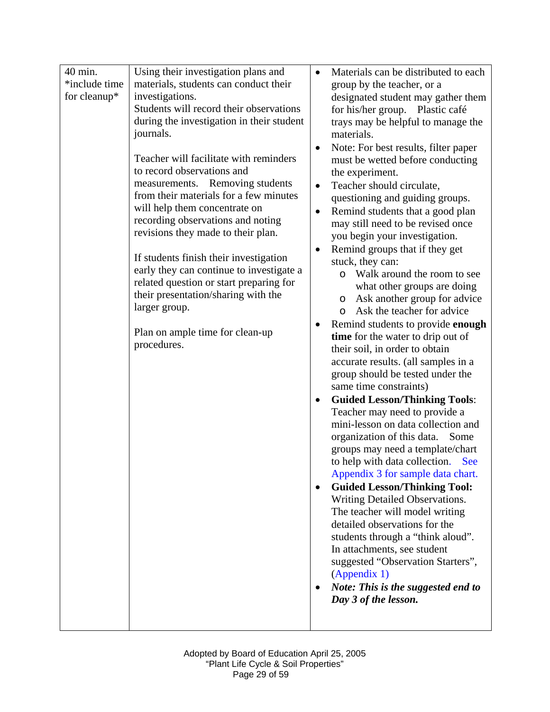| 40 min.       | Using their investigation plans and                                                                                                                                                                                                                                                                                                                                                                                                                                                                                                                                                                           | $\bullet$                                                          | Materials can be distributed to each                                                                                                                                                                                                                                                                                                                                                                                                                                                                                                                                                                                                                                                                                                                                                                                                                                                                                                                                                                                                                                                                                                       |
|---------------|---------------------------------------------------------------------------------------------------------------------------------------------------------------------------------------------------------------------------------------------------------------------------------------------------------------------------------------------------------------------------------------------------------------------------------------------------------------------------------------------------------------------------------------------------------------------------------------------------------------|--------------------------------------------------------------------|--------------------------------------------------------------------------------------------------------------------------------------------------------------------------------------------------------------------------------------------------------------------------------------------------------------------------------------------------------------------------------------------------------------------------------------------------------------------------------------------------------------------------------------------------------------------------------------------------------------------------------------------------------------------------------------------------------------------------------------------------------------------------------------------------------------------------------------------------------------------------------------------------------------------------------------------------------------------------------------------------------------------------------------------------------------------------------------------------------------------------------------------|
| *include time | materials, students can conduct their                                                                                                                                                                                                                                                                                                                                                                                                                                                                                                                                                                         |                                                                    | group by the teacher, or a                                                                                                                                                                                                                                                                                                                                                                                                                                                                                                                                                                                                                                                                                                                                                                                                                                                                                                                                                                                                                                                                                                                 |
| for cleanup*  | investigations.                                                                                                                                                                                                                                                                                                                                                                                                                                                                                                                                                                                               |                                                                    | designated student may gather them                                                                                                                                                                                                                                                                                                                                                                                                                                                                                                                                                                                                                                                                                                                                                                                                                                                                                                                                                                                                                                                                                                         |
|               |                                                                                                                                                                                                                                                                                                                                                                                                                                                                                                                                                                                                               |                                                                    | for his/her group.<br>Plastic café                                                                                                                                                                                                                                                                                                                                                                                                                                                                                                                                                                                                                                                                                                                                                                                                                                                                                                                                                                                                                                                                                                         |
|               |                                                                                                                                                                                                                                                                                                                                                                                                                                                                                                                                                                                                               |                                                                    |                                                                                                                                                                                                                                                                                                                                                                                                                                                                                                                                                                                                                                                                                                                                                                                                                                                                                                                                                                                                                                                                                                                                            |
|               |                                                                                                                                                                                                                                                                                                                                                                                                                                                                                                                                                                                                               |                                                                    |                                                                                                                                                                                                                                                                                                                                                                                                                                                                                                                                                                                                                                                                                                                                                                                                                                                                                                                                                                                                                                                                                                                                            |
|               | Students will record their observations<br>during the investigation in their student<br>journals.<br>Teacher will facilitate with reminders<br>to record observations and<br>measurements. Removing students<br>from their materials for a few minutes<br>will help them concentrate on<br>recording observations and noting<br>revisions they made to their plan.<br>If students finish their investigation<br>early they can continue to investigate a<br>related question or start preparing for<br>their presentation/sharing with the<br>larger group.<br>Plan on ample time for clean-up<br>procedures. | $\bullet$<br>$\bullet$<br>٠<br>$\bullet$<br>$\bullet$<br>$\bullet$ | trays may be helpful to manage the<br>materials.<br>Note: For best results, filter paper<br>must be wetted before conducting<br>the experiment.<br>Teacher should circulate,<br>questioning and guiding groups.<br>Remind students that a good plan<br>may still need to be revised once<br>you begin your investigation.<br>Remind groups that if they get<br>stuck, they can:<br>Walk around the room to see<br>what other groups are doing<br>Ask another group for advice<br>$\circ$<br>Ask the teacher for advice<br>$\circ$<br>Remind students to provide enough<br>time for the water to drip out of<br>their soil, in order to obtain<br>accurate results. (all samples in a<br>group should be tested under the<br>same time constraints)<br><b>Guided Lesson/Thinking Tools:</b><br>Teacher may need to provide a<br>mini-lesson on data collection and<br>organization of this data.<br>Some<br>groups may need a template/chart<br>to help with data collection.<br><b>See</b><br>Appendix 3 for sample data chart.<br><b>Guided Lesson/Thinking Tool:</b><br>Writing Detailed Observations.<br>The teacher will model writing |
|               |                                                                                                                                                                                                                                                                                                                                                                                                                                                                                                                                                                                                               |                                                                    | detailed observations for the<br>students through a "think aloud".<br>In attachments, see student                                                                                                                                                                                                                                                                                                                                                                                                                                                                                                                                                                                                                                                                                                                                                                                                                                                                                                                                                                                                                                          |
|               |                                                                                                                                                                                                                                                                                                                                                                                                                                                                                                                                                                                                               |                                                                    | suggested "Observation Starters",<br>(Appendix 1)                                                                                                                                                                                                                                                                                                                                                                                                                                                                                                                                                                                                                                                                                                                                                                                                                                                                                                                                                                                                                                                                                          |
|               |                                                                                                                                                                                                                                                                                                                                                                                                                                                                                                                                                                                                               |                                                                    | Note: This is the suggested end to<br>Day 3 of the lesson.                                                                                                                                                                                                                                                                                                                                                                                                                                                                                                                                                                                                                                                                                                                                                                                                                                                                                                                                                                                                                                                                                 |
|               |                                                                                                                                                                                                                                                                                                                                                                                                                                                                                                                                                                                                               |                                                                    |                                                                                                                                                                                                                                                                                                                                                                                                                                                                                                                                                                                                                                                                                                                                                                                                                                                                                                                                                                                                                                                                                                                                            |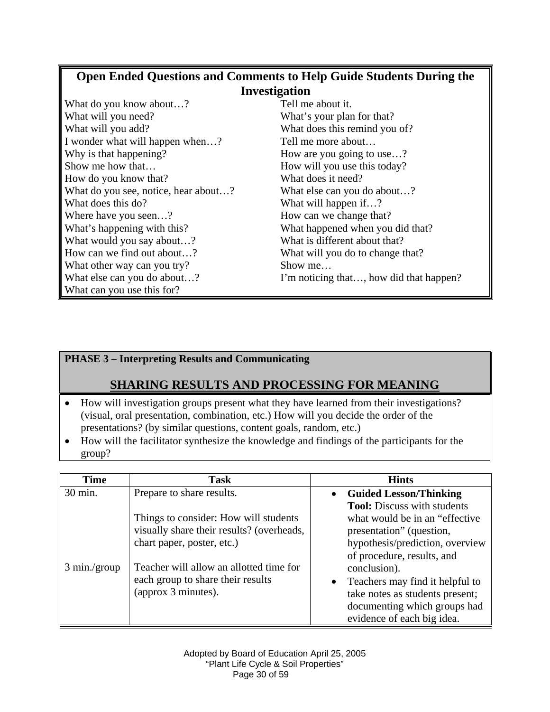# **Open Ended Questions and Comments to Help Guide Students During the Investigation**

| What do you know about?              |
|--------------------------------------|
| What will you need?                  |
| What will you add?                   |
| I wonder what will happen when?      |
| Why is that happening?               |
| Show me how that                     |
| How do you know that?                |
| What do you see, notice, hear about? |
| What does this do?                   |
| Where have you seen?                 |
| What's happening with this?          |
| What would you say about?            |
| How can we find out about?           |
| What other way can you try?          |
| What else can you do about?          |
| What can you use this for?           |

Tell me about it. What's your plan for that? What does this remind you of? Tell me more about… How are you going to use…? How will you use this today? What does it need? What else can you do about…? What will happen if…? How can we change that? What happened when you did that? What is different about that? What will you do to change that? Show me… I'm noticing that…, how did that happen?

# **PHASE 3 – Interpreting Results and Communicating**

# **SHARING RESULTS AND PROCESSING FOR MEANING**

- How will investigation groups present what they have learned from their investigations? (visual, oral presentation, combination, etc.) How will you decide the order of the presentations? (by similar questions, content goals, random, etc.)
- How will the facilitator synthesize the knowledge and findings of the participants for the group?

| <b>Time</b>                       | <b>Task</b>                                                                                                                                                                                                                                          | <b>Hints</b>                                                                                                                                                                                                                                                                                                                                                                      |
|-----------------------------------|------------------------------------------------------------------------------------------------------------------------------------------------------------------------------------------------------------------------------------------------------|-----------------------------------------------------------------------------------------------------------------------------------------------------------------------------------------------------------------------------------------------------------------------------------------------------------------------------------------------------------------------------------|
| 30 min.<br>$3 \text{ min./group}$ | Prepare to share results.<br>Things to consider: How will students<br>visually share their results? (overheads,<br>chart paper, poster, etc.)<br>Teacher will allow an allotted time for<br>each group to share their results<br>(approx 3 minutes). | <b>Guided Lesson/Thinking</b><br>$\bullet$<br><b>Tool:</b> Discuss with students<br>what would be in an "effective"<br>presentation" (question,<br>hypothesis/prediction, overview<br>of procedure, results, and<br>conclusion).<br>Teachers may find it helpful to<br>$\bullet$<br>take notes as students present;<br>documenting which groups had<br>evidence of each big idea. |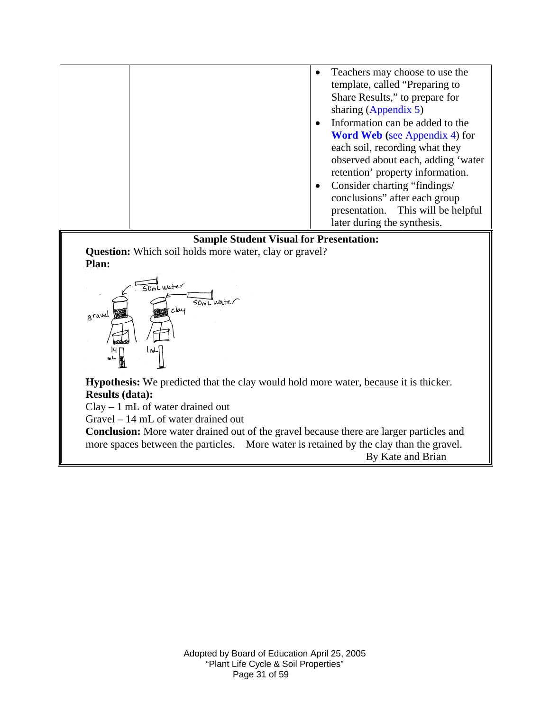|                                                                                                                                                                                                                                                                                                  | Teachers may choose to use the       |
|--------------------------------------------------------------------------------------------------------------------------------------------------------------------------------------------------------------------------------------------------------------------------------------------------|--------------------------------------|
|                                                                                                                                                                                                                                                                                                  | template, called "Preparing to       |
|                                                                                                                                                                                                                                                                                                  | Share Results," to prepare for       |
|                                                                                                                                                                                                                                                                                                  | sharing (Appendix $5$ )              |
|                                                                                                                                                                                                                                                                                                  | Information can be added to the      |
|                                                                                                                                                                                                                                                                                                  | <b>Word Web</b> (see Appendix 4) for |
|                                                                                                                                                                                                                                                                                                  | each soil, recording what they       |
|                                                                                                                                                                                                                                                                                                  | observed about each, adding 'water   |
|                                                                                                                                                                                                                                                                                                  | retention' property information.     |
|                                                                                                                                                                                                                                                                                                  | Consider charting "findings/         |
|                                                                                                                                                                                                                                                                                                  | conclusions" after each group        |
|                                                                                                                                                                                                                                                                                                  | presentation. This will be helpful   |
|                                                                                                                                                                                                                                                                                                  | later during the synthesis.          |
| $\mathbf{C}$ and $\mathbf{C}$ and $\mathbf{C}$ and $\mathbf{C}$ and $\mathbf{C}$ and $\mathbf{C}$ and $\mathbf{C}$ and $\mathbf{C}$ and $\mathbf{C}$ and $\mathbf{C}$ and $\mathbf{C}$ and $\mathbf{C}$ and $\mathbf{C}$ and $\mathbf{C}$ and $\mathbf{C}$ and $\mathbf{C}$ and $\mathbf{C}$ and |                                      |

#### **Sample Student Visual for Presentation:**

**Question:** Which soil holds more water, clay or gravel? **Plan:** 



Hypothesis: We predicted that the clay would hold more water, **because** it is thicker. **Results (data):** 

Clay – 1 mL of water drained out

Gravel – 14 mL of water drained out

**Conclusion:** More water drained out of the gravel because there are larger particles and more spaces between the particles. More water is retained by the clay than the gravel. By Kate and Brian

> Adopted by Board of Education April 25, 2005 "Plant Life Cycle & Soil Properties" Page 31 of 59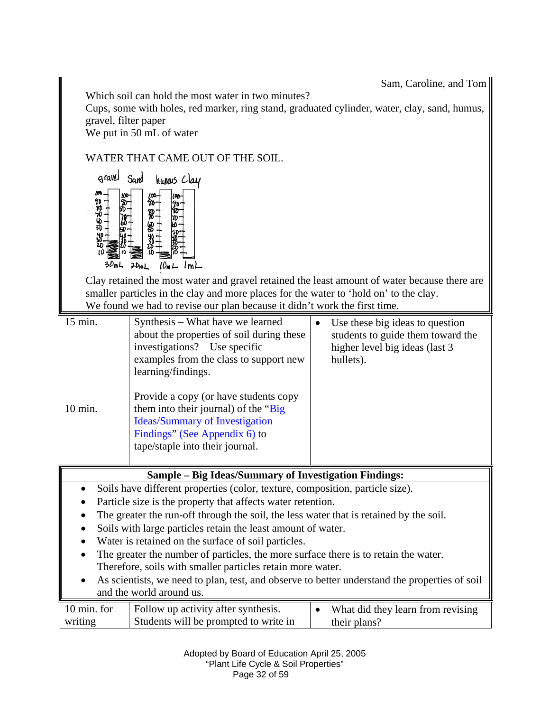Sam, Caroline, and Tom

Which soil can hold the most water in two minutes?

Cups, some with holes, red marker, ring stand, graduated cylinder, water, clay, sand, humus, gravel, filter paper

We put in 50 mL of water

# WATER THAT CAME OUT OF THE SOIL.



Clay retained the most water and gravel retained the least amount of water because there are smaller particles in the clay and more places for the water to 'hold on' to the clay. We found we had to revise our plan because it didn't work the first time.

| 15 min.                                                                             | Synthesis – What have we learned<br>about the properties of soil during these<br>investigations? Use specific<br>examples from the class to support new<br>learning/findings.               | Use these big ideas to question<br>students to guide them toward the<br>higher level big ideas (last 3<br>bullets). |  |
|-------------------------------------------------------------------------------------|---------------------------------------------------------------------------------------------------------------------------------------------------------------------------------------------|---------------------------------------------------------------------------------------------------------------------|--|
| 10 min.                                                                             | Provide a copy (or have students copy<br>them into their journal) of the "Big"<br><b>Ideas/Summary of Investigation</b><br>Findings" (See Appendix 6) to<br>tape/staple into their journal. |                                                                                                                     |  |
|                                                                                     | <b>Sample – Big Ideas/Summary of Investigation Findings:</b>                                                                                                                                |                                                                                                                     |  |
|                                                                                     | Soils have different properties (color, texture, composition, particle size).                                                                                                               |                                                                                                                     |  |
|                                                                                     | Particle size is the property that affects water retention.                                                                                                                                 |                                                                                                                     |  |
|                                                                                     | The greater the run-off through the soil, the less water that is retained by the soil.                                                                                                      |                                                                                                                     |  |
|                                                                                     | Soils with large particles retain the least amount of water.                                                                                                                                |                                                                                                                     |  |
| $\bullet$                                                                           | Water is retained on the surface of soil particles.                                                                                                                                         |                                                                                                                     |  |
| The greater the number of particles, the more surface there is to retain the water. |                                                                                                                                                                                             |                                                                                                                     |  |
| Therefore, soils with smaller particles retain more water.                          |                                                                                                                                                                                             |                                                                                                                     |  |
|                                                                                     | As scientists, we need to plan, test, and observe to better understand the properties of soil<br>and the world around us.                                                                   |                                                                                                                     |  |
| 10 min. for<br>writing                                                              | Follow up activity after synthesis.<br>Students will be prompted to write in                                                                                                                | What did they learn from revising<br>$\bullet$<br>their plans?                                                      |  |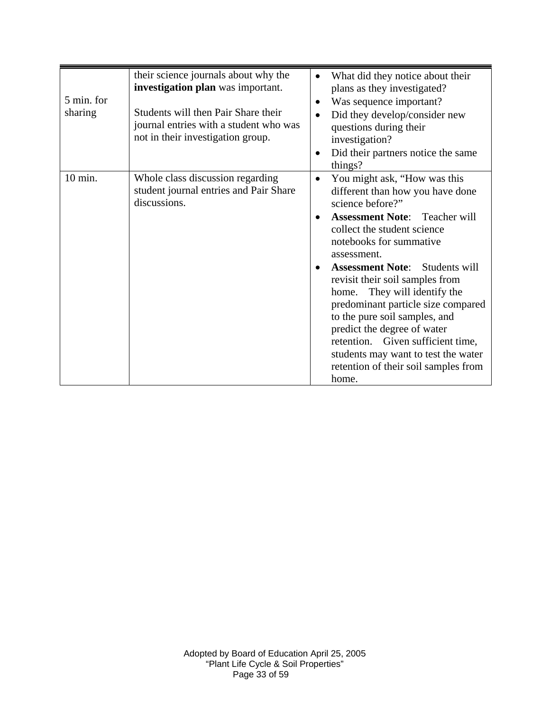| 5 min. for<br>sharing | their science journals about why the<br>investigation plan was important.<br>Students will then Pair Share their<br>journal entries with a student who was<br>not in their investigation group. | $\bullet$<br>$\bullet$<br>$\bullet$ | What did they notice about their<br>plans as they investigated?<br>Was sequence important?<br>Did they develop/consider new<br>questions during their<br>investigation?<br>Did their partners notice the same<br>things?                                                                                                                                                                                                                                                                                                                                   |
|-----------------------|-------------------------------------------------------------------------------------------------------------------------------------------------------------------------------------------------|-------------------------------------|------------------------------------------------------------------------------------------------------------------------------------------------------------------------------------------------------------------------------------------------------------------------------------------------------------------------------------------------------------------------------------------------------------------------------------------------------------------------------------------------------------------------------------------------------------|
| 10 min.               | Whole class discussion regarding<br>student journal entries and Pair Share<br>discussions.                                                                                                      | $\bullet$<br>$\bullet$              | You might ask, "How was this<br>different than how you have done<br>science before?"<br><b>Assessment Note:</b> Teacher will<br>collect the student science<br>notebooks for summative<br>assessment.<br><b>Assessment Note:</b><br>Students will<br>revisit their soil samples from<br>They will identify the<br>home.<br>predominant particle size compared<br>to the pure soil samples, and<br>predict the degree of water<br>retention. Given sufficient time,<br>students may want to test the water<br>retention of their soil samples from<br>home. |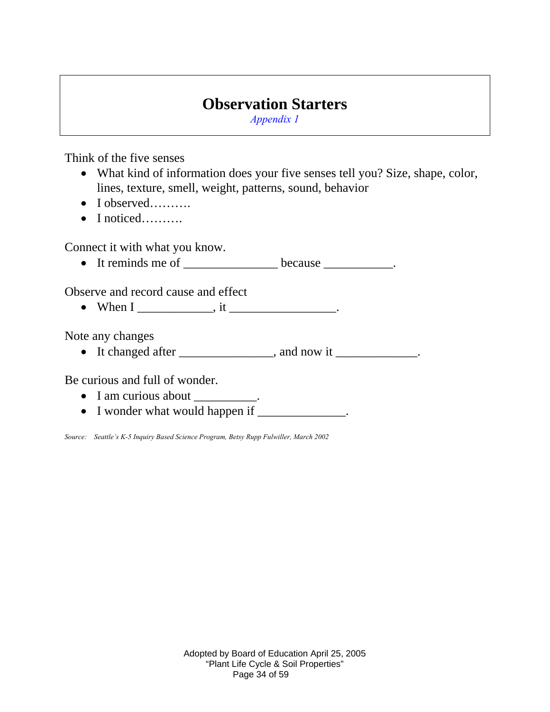# **Observation Starters**

*Appendix 1* 

Think of the five senses

- What kind of information does your five senses tell you? Size, shape, color, lines, texture, smell, weight, patterns, sound, behavior
- I observed……….
- I noticed………

Connect it with what you know.

• It reminds me of \_\_\_\_\_\_\_\_\_\_\_\_\_\_\_ because \_\_\_\_\_\_\_\_\_.

Observe and record cause and effect

• When I \_\_\_\_\_\_\_\_\_, it \_\_\_\_\_\_\_\_\_\_\_\_.

Note any changes

• It changed after \_\_\_\_\_\_\_\_\_\_\_\_\_\_, and now it \_\_\_\_\_\_\_\_\_\_\_.

Be curious and full of wonder.

- I am curious about  $\cdot$
- I wonder what would happen if \_\_\_\_\_\_\_\_\_\_\_\_.

*Source: Seattle's K-5 Inquiry Based Science Program, Betsy Rupp Fulwiller, March 2002*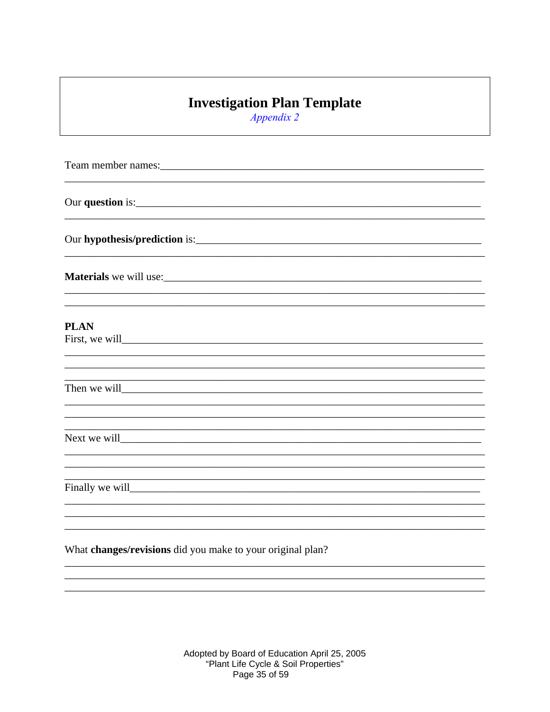# **Investigation Plan Template**<br>*Appendix 2*

| <b>PLAN</b>                                                                                                                                                                                                                    |
|--------------------------------------------------------------------------------------------------------------------------------------------------------------------------------------------------------------------------------|
| ,我们也不能在这里的时候,我们也不能在这里的时候,我们也不能会在这里的时候,我们也不能会在这里的时候,我们也不能会在这里的时候,我们也不能会在这里的时候,我们也不                                                                                                                                              |
| Next we will serve will contain the same will be a server of the same will be a series of the same will be a series of the same will be a series of the same will be a series of the same will be a series of the same will be |
| and the control of the control of the control of the control of the control of the control of the control of the                                                                                                               |
| What changes/revisions did you make to your original plan?                                                                                                                                                                     |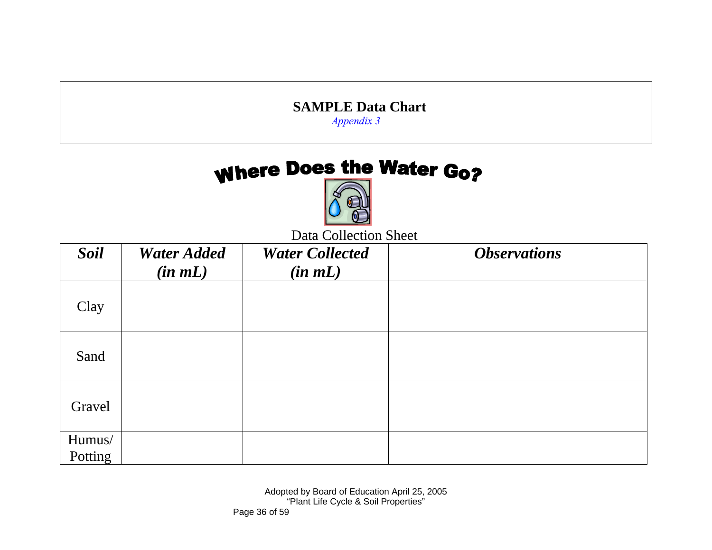# **SAMPLE Data Chart**

*Appendix 3* 

# **Where Does the Water Go?**



Data Collection Sheet

| <b>Soil</b>       | <b>Water Added</b><br>(in mL) | <b>Water Collected</b><br>(in mL) | <b>Observations</b> |
|-------------------|-------------------------------|-----------------------------------|---------------------|
| Clay              |                               |                                   |                     |
| Sand              |                               |                                   |                     |
| Gravel            |                               |                                   |                     |
| Humus/<br>Potting |                               |                                   |                     |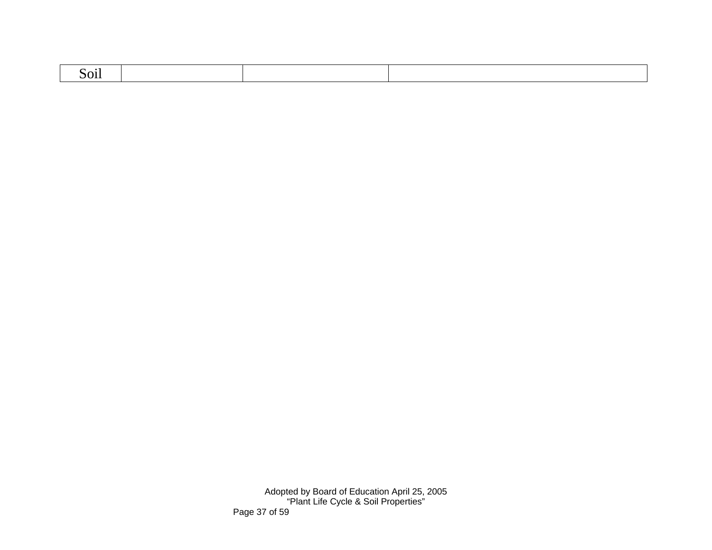|--|--|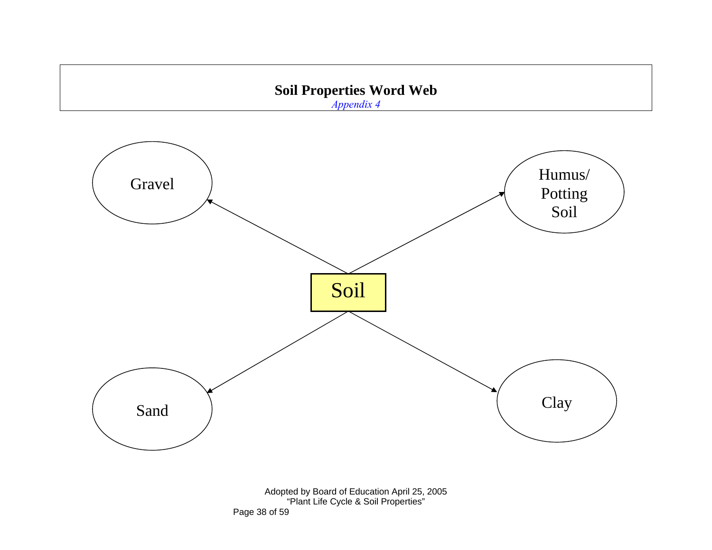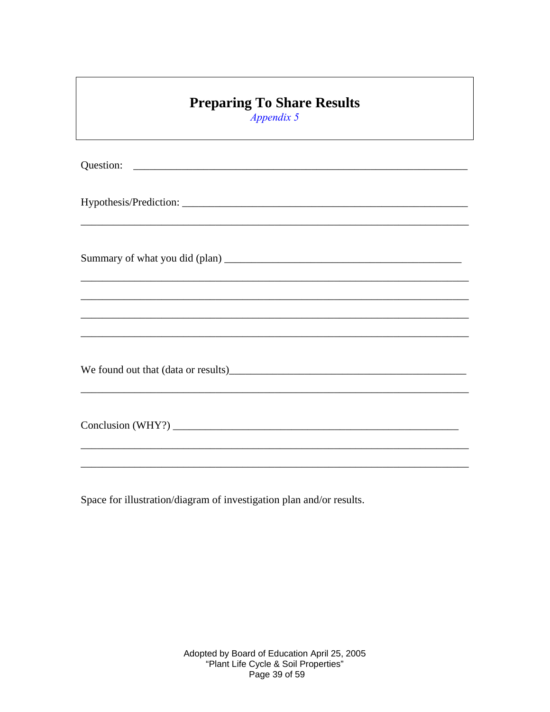# **Preparing To Share Results**

 $A$ ppendix 5

Space for illustration/diagram of investigation plan and/or results.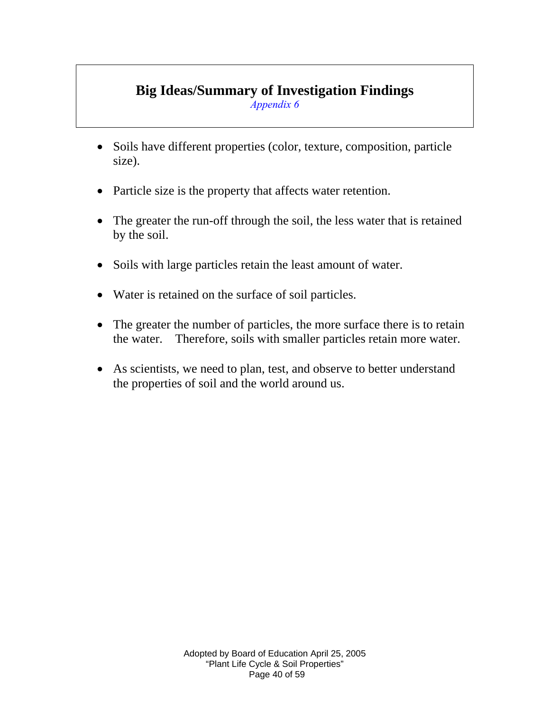# **Big Ideas/Summary of Investigation Findings**

*Appendix 6* 

- Soils have different properties (color, texture, composition, particle size).
- Particle size is the property that affects water retention.
- The greater the run-off through the soil, the less water that is retained by the soil.
- Soils with large particles retain the least amount of water.
- Water is retained on the surface of soil particles.
- The greater the number of particles, the more surface there is to retain the water.Therefore, soils with smaller particles retain more water.
- As scientists, we need to plan, test, and observe to better understand the properties of soil and the world around us.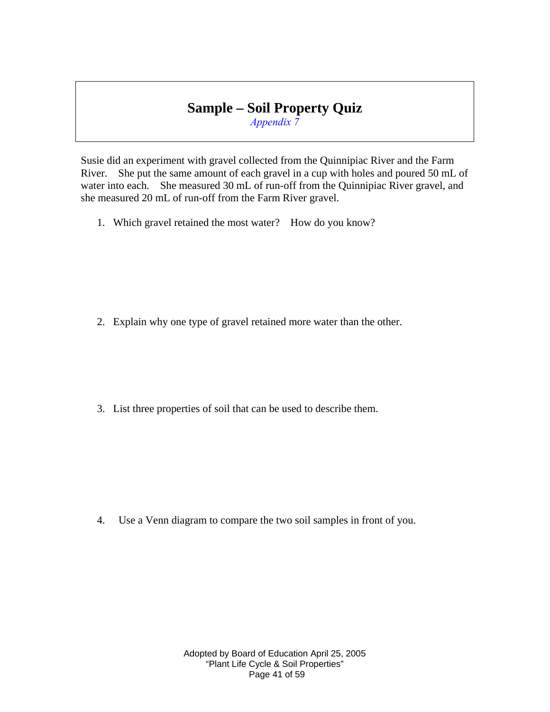# **Sample – Soil Property Quiz**

*Appendix 7* 

Susie did an experiment with gravel collected from the Quinnipiac River and the Farm River. She put the same amount of each gravel in a cup with holes and poured 50 mL of water into each. She measured 30 mL of run-off from the Quinnipiac River gravel, and she measured 20 mL of run-off from the Farm River gravel.

1. Which gravel retained the most water? How do you know?

2. Explain why one type of gravel retained more water than the other.

3. List three properties of soil that can be used to describe them.

4. Use a Venn diagram to compare the two soil samples in front of you.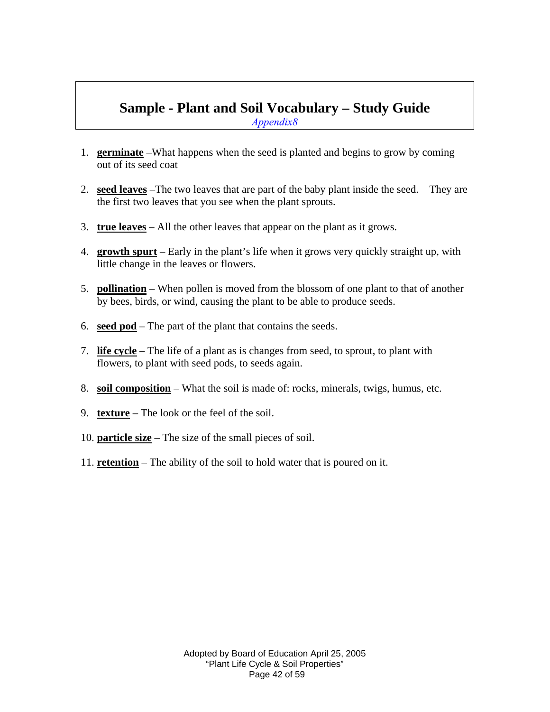# **Sample - Plant and Soil Vocabulary – Study Guide**

*Appendix8* 

- 1. **germinate** –What happens when the seed is planted and begins to grow by coming out of its seed coat
- 2. **seed leaves** –The two leaves that are part of the baby plant inside the seed. They are the first two leaves that you see when the plant sprouts.
- 3. **true leaves** All the other leaves that appear on the plant as it grows.
- 4. **growth spurt** Early in the plant's life when it grows very quickly straight up, with little change in the leaves or flowers.
- 5. **pollination** When pollen is moved from the blossom of one plant to that of another by bees, birds, or wind, causing the plant to be able to produce seeds.
- 6. **seed pod** The part of the plant that contains the seeds.
- 7. **life cycle** The life of a plant as is changes from seed, to sprout, to plant with flowers, to plant with seed pods, to seeds again.
- 8. **soil composition** What the soil is made of: rocks, minerals, twigs, humus, etc.
- 9. **texture** The look or the feel of the soil.
- 10. **particle size** The size of the small pieces of soil.
- 11. **retention** The ability of the soil to hold water that is poured on it.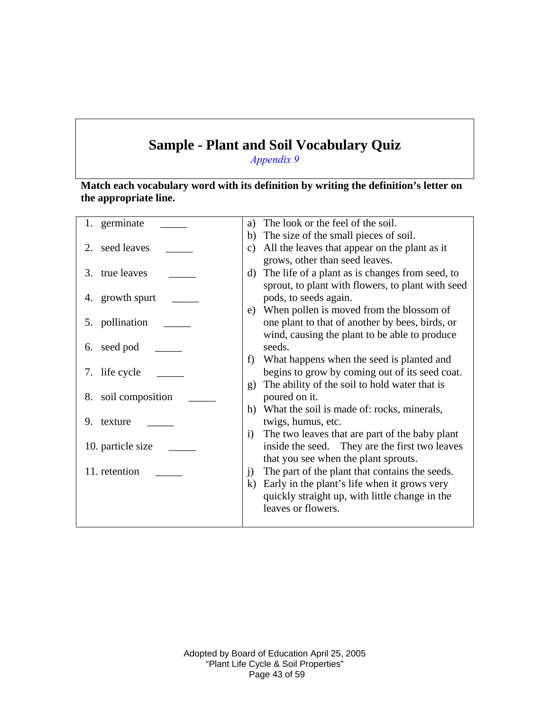# **Sample - Plant and Soil Vocabulary Quiz**

*Appendix 9* 

## **Match each vocabulary word with its definition by writing the definition's letter on the appropriate line.**

1. germinate 2. seed leaves 3. true leaves 4. growth spurt 5. pollination 6. seed pod \_\_\_\_\_ 7. life cycle 8. soil composition 9. texture 10. particle size 11. retention a) The look or the feel of the soil. b) The size of the small pieces of soil. c) All the leaves that appear on the plant as it grows, other than seed leaves. d) The life of a plant as is changes from seed, to sprout, to plant with flowers, to plant with seed pods, to seeds again. e) When pollen is moved from the blossom of one plant to that of another by bees, birds, or wind, causing the plant to be able to produce seeds. f) What happens when the seed is planted and begins to grow by coming out of its seed coat. g) The ability of the soil to hold water that is poured on it. h) What the soil is made of: rocks, minerals, twigs, humus, etc. i) The two leaves that are part of the baby plant inside the seed. They are the first two leaves that you see when the plant sprouts. j) The part of the plant that contains the seeds. k) Early in the plant's life when it grows very quickly straight up, with little change in the leaves or flowers.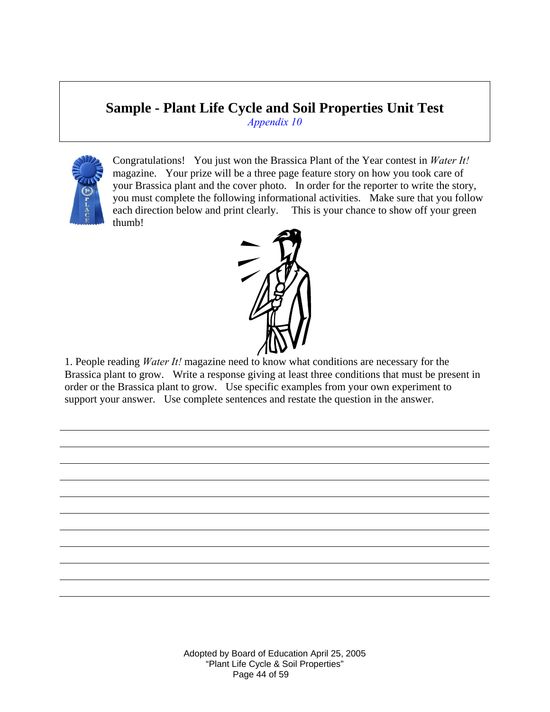# **Sample - Plant Life Cycle and Soil Properties Unit Test**

*Appendix 10* 



Congratulations! You just won the Brassica Plant of the Year contest in *Water It!* magazine. Your prize will be a three page feature story on how you took care of your Brassica plant and the cover photo. In order for the reporter to write the story, you must complete the following informational activities. Make sure that you follow each direction below and print clearly. This is your chance to show off your green thumb!



1. People reading *Water It!* magazine need to know what conditions are necessary for the Brassica plant to grow. Write a response giving at least three conditions that must be present in order or the Brassica plant to grow. Use specific examples from your own experiment to support your answer. Use complete sentences and restate the question in the answer.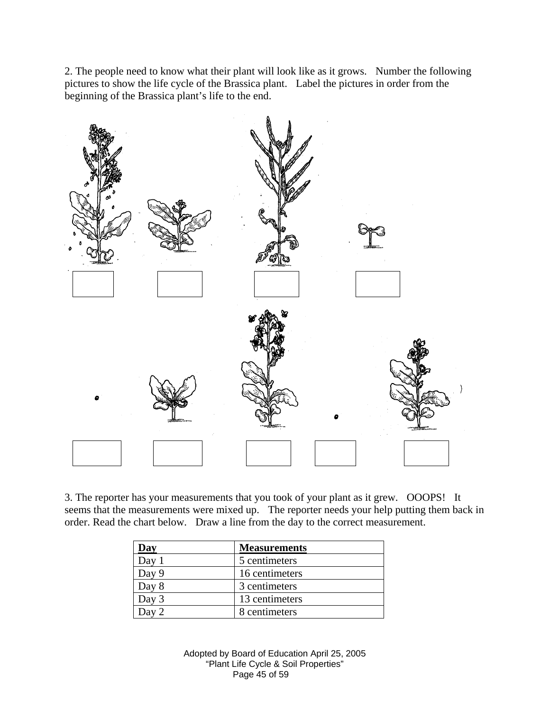2. The people need to know what their plant will look like as it grows. Number the following pictures to show the life cycle of the Brassica plant. Label the pictures in order from the beginning of the Brassica plant's life to the end.



3. The reporter has your measurements that you took of your plant as it grew. OOOPS! It seems that the measurements were mixed up. The reporter needs your help putting them back in order. Read the chart below. Draw a line from the day to the correct measurement.

| Jay   | <b>Measurements</b> |  |
|-------|---------------------|--|
| Day 1 | 5 centimeters       |  |
| Day 9 | 16 centimeters      |  |
| Day 8 | 3 centimeters       |  |
| Day 3 | 13 centimeters      |  |
|       | 8 centimeters       |  |

Adopted by Board of Education April 25, 2005 "Plant Life Cycle & Soil Properties" Page 45 of 59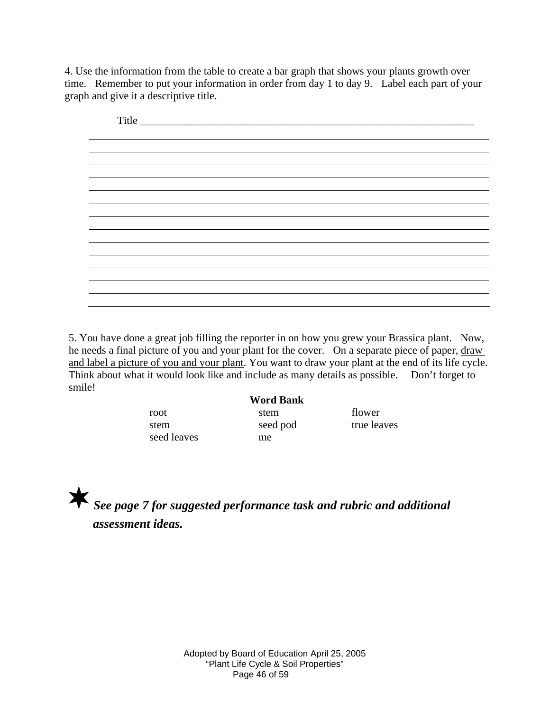4. Use the information from the table to create a bar graph that shows your plants growth over time. Remember to put your information in order from day 1 to day 9. Label each part of your graph and give it a descriptive title.

| Title |  |
|-------|--|
|       |  |
|       |  |
|       |  |
|       |  |
|       |  |
|       |  |
|       |  |
|       |  |
|       |  |
|       |  |
|       |  |
|       |  |
|       |  |
|       |  |

5. You have done a great job filling the reporter in on how you grew your Brassica plant. Now, he needs a final picture of you and your plant for the cover. On a separate piece of paper, draw and label a picture of you and your plant. You want to draw your plant at the end of its life cycle. Think about what it would look like and include as many details as possible. Don't forget to smile!

|             | <b>Word Bank</b> |             |
|-------------|------------------|-------------|
| root        | stem             | flower      |
| stem        | seed pod         | true leaves |
| seed leaves | me               |             |

*See page 7 for suggested performance task and rubric and additional assessment ideas.*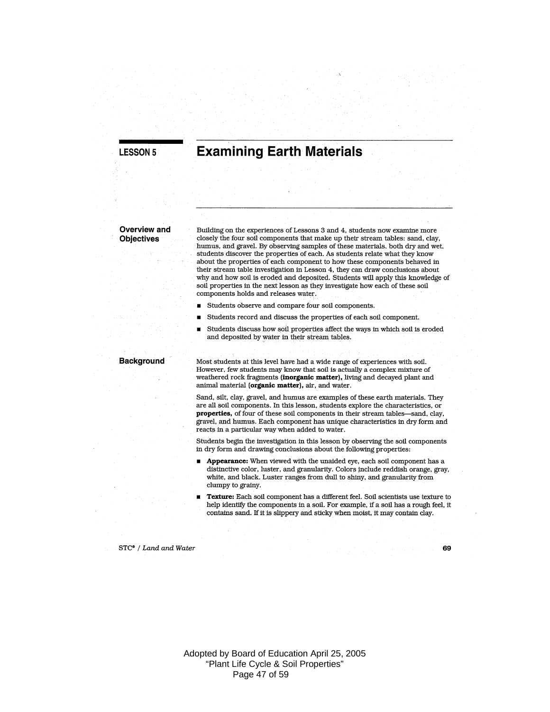#### **LESSON 5**

# **Examining Earth Materials**

#### Overview and **Objectives**

Building on the experiences of Lessons 3 and 4, students now examine more closely the four soil components that make up their stream tables: sand, clay, humus, and gravel. By observing samples of these materials, both dry and wet, students discover the properties of each. As students relate what they know about the properties of each component to how these components behaved in their stream table investigation in Lesson 4, they can draw conclusions about why and how soil is eroded and deposited. Students will apply this knowledge of soil properties in the next lesson as they investigate how each of these soil components holds and releases water.

- Students observe and compare four soil components.
- Students record and discuss the properties of each soil component.
- Students discuss how soil properties affect the ways in which soil is eroded and deposited by water in their stream tables.

#### **Background**

Most students at this level have had a wide range of experiences with soil. However, few students may know that soil is actually a complex mixture of weathered rock fragments (inorganic matter), living and decayed plant and animal material (organic matter), air, and water.

Sand, silt, clay, gravel, and humus are examples of these earth materials. They are all soil components. In this lesson, students explore the characteristics, or properties, of four of these soil components in their stream tables-sand, clay, gravel, and humus. Each component has unique characteristics in dry form and reacts in a particular way when added to water.

Students begin the investigation in this lesson by observing the soil components in dry form and drawing conclusions about the following properties:

- Appearance: When viewed with the unaided eye, each soil component has a distinctive color, luster, and granularity. Colors include reddish orange, gray, white, and black. Luster ranges from dull to shiny, and granularity from clumpy to grainy.
- Texture: Each soil component has a different feel. Soil scientists use texture to help identify the components in a soil. For example, if a soil has a rough feel, it contains sand. If it is slippery and sticky when moist, it may contain clay.

STC<sup>®</sup> / Land and Water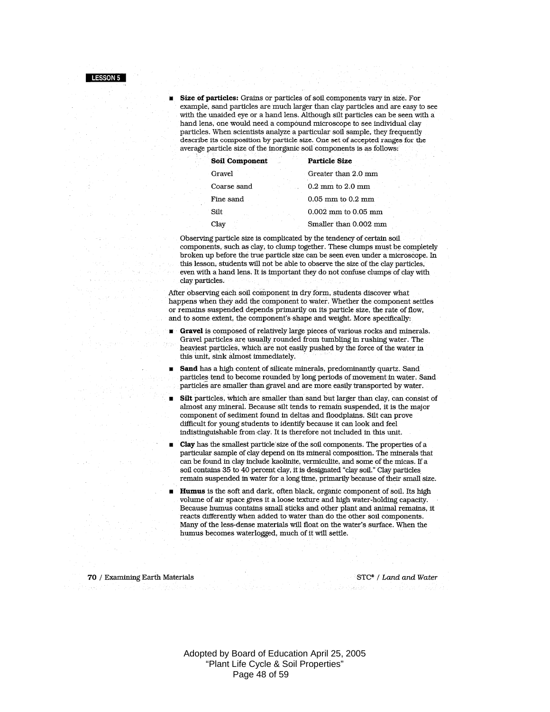Size of particles: Grains or particles of soil components vary in size. For example, sand particles are much larger than clay particles and are easy to see with the unaided eye or a hand lens. Although silt particles can be seen with a hand lens, one would need a compound microscope to see individual clay particles. When scientists analyze a particular soil sample, they frequently describe its composition by particle size. One set of accepted ranges for the average particle size of the inorganic soil components is as follows:

| <b>Soil Component</b> | <b>Particle Size</b>    |  |  |
|-----------------------|-------------------------|--|--|
| Gravel                | Greater than 2.0 mm     |  |  |
| Coarse sand           | $0.2$ mm to $2.0$ mm    |  |  |
| Fine sand             | $0.05$ mm to $0.2$ mm   |  |  |
| Silt                  | $0.002$ mm to $0.05$ mm |  |  |
| Clay                  | Smaller than 0.002 mm   |  |  |
|                       |                         |  |  |

Observing particle size is complicated by the tendency of certain soil components, such as clay, to clump together. These clumps must be completely broken up before the true particle size can be seen even under a microscope. In this lesson, students will not be able to observe the size of the clay particles, even with a hand lens. It is important they do not confuse clumps of clay with clay particles.

After observing each soil component in dry form, students discover what happens when they add the component to water. Whether the component settles or remains suspended depends primarily on its particle size, the rate of flow. and to some extent, the component's shape and weight. More specifically:

- Gravel is composed of relatively large pieces of various rocks and minerals. Gravel particles are usually rounded from tumbling in rushing water. The heaviest particles, which are not easily pushed by the force of the water in this unit, sink almost immediately.
	- **Sand** has a high content of silicate minerals, predominantly quartz. Sand particles tend to become rounded by long periods of movement in water. Sand particles are smaller than gravel and are more easily transported by water.
- Silt particles, which are smaller than sand but larger than clay, can consist of almost any mineral. Because silt tends to remain suspended, it is the major component of sediment found in deltas and floodplains. Silt can prove difficult for young students to identify because it can look and feel indistinguishable from clay. It is therefore not included in this unit.
- Clay has the smallest particle size of the soil components. The properties of a particular sample of clay depend on its mineral composition. The minerals that can be found in clay include kaolinite, vermiculite, and some of the micas. If a soil contains 35 to 40 percent clay, it is designated "clay soil." Clay particles remain suspended in water for a long time, primarily because of their small size.
- Humus is the soft and dark, often black, organic component of soil. Its high volume of air space gives it a loose texture and high water-holding capacity. Because humus contains small sticks and other plant and animal remains, it reacts differently when added to water than do the other soil components. Many of the less-dense materials will float on the water's surface. When the humus becomes waterlogged, much of it will settle.

70 / Examining Earth Materials

STC<sup>®</sup> / Land and Water

Adopted by Board of Education April 25, 2005 "Plant Life Cycle & Soil Properties" Page 48 of 59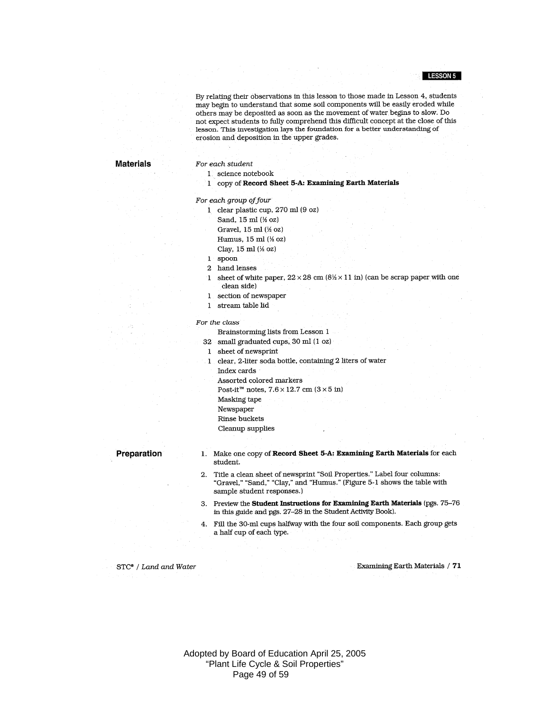By relating their observations in this lesson to those made in Lesson 4, students may begin to understand that some soil components will be easily eroded while others may be deposited as soon as the movement of water begins to slow. Do not expect students to fully comprehend this difficult concept at the close of this lesson. This investigation lays the foundation for a better understanding of erosion and deposition in the upper grades.

#### **Materials**

#### For each student

1 science notebook

1 copy of Record Sheet 5-A: Examining Earth Materials

#### For each group of four

- 1 clear plastic cup, 270 ml (9 oz) Sand, 15 ml (½ oz) Gravel, 15 ml (½ oz)
	- Humus,  $15 \text{ ml}$  ( $\frac{1}{2}$  oz)
	- Clay, 15 ml (½ oz)
- $1$  spoon
- 2 hand lenses
- 1 sheet of white paper,  $22 \times 28$  cm  $(8\frac{1}{2} \times 11$  in) (can be scrap paper with one clean side)
- 1 section of newspaper
- 1 stream table lid

#### For the class

Brainstorming lists from Lesson 1

- 32 small graduated cups, 30 ml (1 oz)
- 1 sheet of newsprint
- 1 clear, 2-liter soda bottle, containing 2 liters of water Index cards
- Assorted colored markers
- Post-it<sup>\*</sup> notes,  $7.6 \times 12.7$  cm  $(3 \times 5$  in)
- Masking tape
- Newspaper
- Rinse buckets
- Cleanup supplies

#### Preparation

- 1. Make one copy of Record Sheet 5-A: Examining Earth Materials for each student.
- Title a clean sheet of newsprint "Soil Properties." Label four columns:  $2.$ "Gravel," "Sand," "Clay," and "Humus." (Figure 5-1 shows the table with sample student responses.)
- Preview the Student Instructions for Examining Earth Materials (pgs. 75-76  $3.$ in this guide and pgs. 27-28 in the Student Activity Book).
- 4. Fill the 30-ml cups halfway with the four soil components. Each group gets a half cup of each type.

STC® / Land and Water

Examining Earth Materials / 71

Adopted by Board of Education April 25, 2005 "Plant Life Cycle & Soil Properties" Page 49 of 59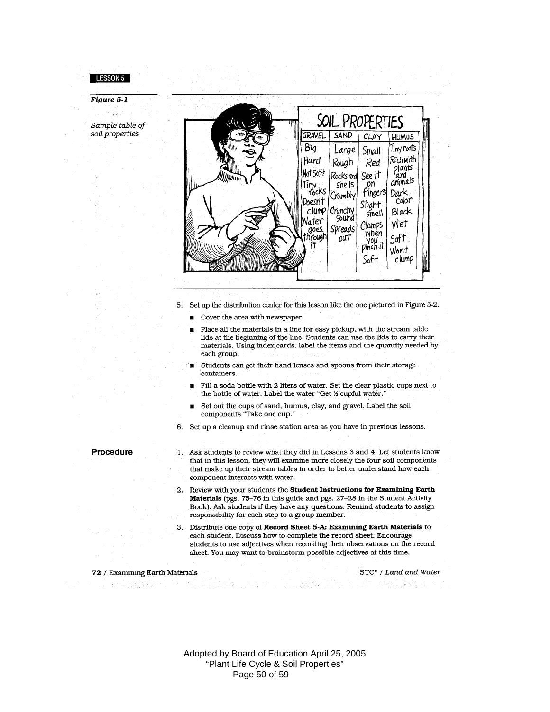

#### $Figure 5-1$

Sample table of soil properties



- 5. Set up the distribution center for this lesson like the one pictured in Figure 5-2.
	- Cover the area with newspaper.
	- Place all the materials in a line for easy pickup, with the stream table lids at the beginning of the line. Students can use the lids to carry their materials. Using index cards, label the items and the quantity needed by each group.
	- Students can get their hand lenses and spoons from their storage containers.
	- Fill a soda bottle with 2 liters of water. Set the clear plastic cups next to the bottle of water. Label the water "Get ½ cupful water."
	- Set out the cups of sand, humus, clay, and gravel. Label the soil components "Take one cup."
- 6. Set up a cleanup and rinse station area as you have in previous lessons.

#### Procedure

1. Ask students to review what they did in Lessons 3 and 4. Let students know that in this lesson, they will examine more closely the four soil components that make up their stream tables in order to better understand how each component interacts with water.

- 2. Review with your students the Student Instructions for Examining Earth Materials (pgs. 75-76 in this guide and pgs. 27-28 in the Student Activity Book). Ask students if they have any questions. Remind students to assign responsibility for each step to a group member.
- 3. Distribute one copy of Record Sheet 5-A: Examining Earth Materials to each student. Discuss how to complete the record sheet. Encourage students to use adjectives when recording their observations on the record sheet. You may want to brainstorm possible adjectives at this time.

발생, 1999

72 / Examining Earth Materials

STC<sup>®</sup> / Land and Water

Adopted by Board of Education April 25, 2005 "Plant Life Cycle & Soil Properties" Page 50 of 59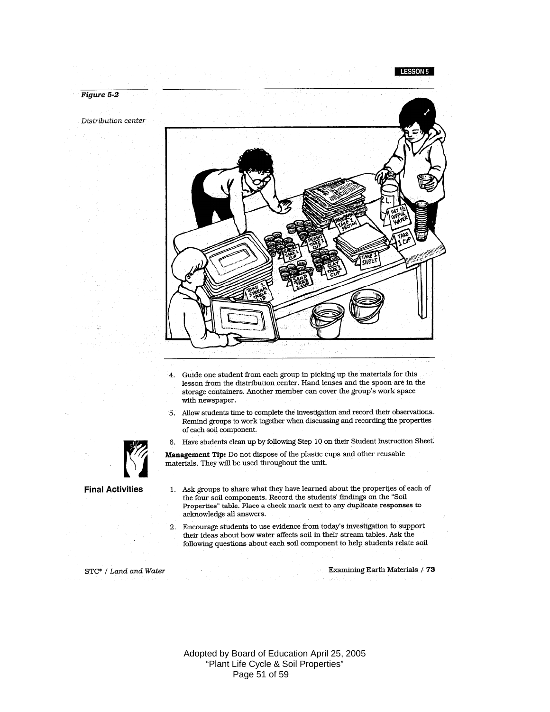

- Guide one student from each group in picking up the materials for this 4. lesson from the distribution center. Hand lenses and the spoon are in the storage containers. Another member can cover the group's work space with newspaper.
- 5. Allow students time to complete the investigation and record their observations. Remind groups to work together when discussing and recording the properties of each soil component.
- 6. Have students clean up by following Step 10 on their Student Instruction Sheet.



Figure 5-2

Distribution center

Management Tip: Do not dispose of the plastic cups and other reusable materials. They will be used throughout the unit.

- 1. Ask groups to share what they have learned about the properties of each of the four soil components. Record the students' findings on the "Soil Properties" table. Place a check mark next to any duplicate responses to acknowledge all answers.
- 2. Encourage students to use evidence from today's investigation to support their ideas about how water affects soil in their stream tables. Ask the following questions about each soil component to help students relate soil

STC<sup>®</sup> / Land and Water

**Final Activities** 

Examining Earth Materials / 73

Adopted by Board of Education April 25, 2005 "Plant Life Cycle & Soil Properties" Page 51 of 59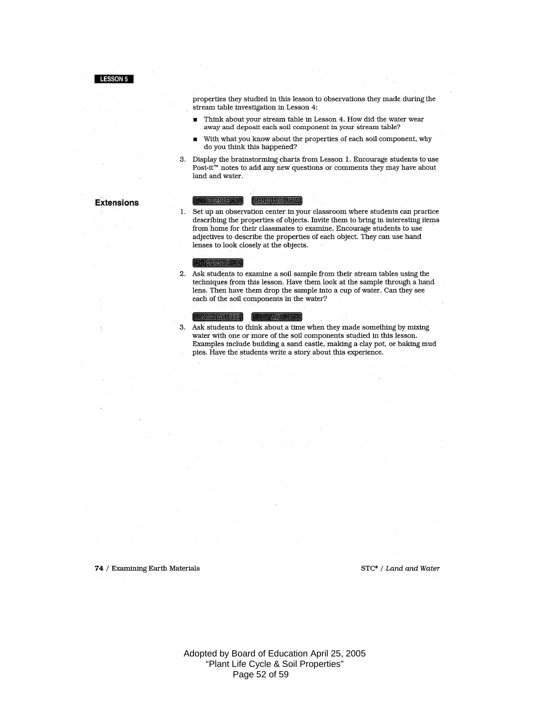**LESSON 5** 

properties they studied in this lesson to observations they made during the stream table investigation in Lesson 4:

- Think about your stream table in Lesson 4. How did the water wear  $\blacksquare$ away and deposit each soil component in your stream table?
- With what you know about the properties of each soil component, why  $\blacksquare$ do you think this happened?
- $3.$ Display the brainstorming charts from Lesson 1. Encourage students to use  $\mathbf{Post}\text{-}\mathbf{it}^{\mathsf{m}}$  notes to add any new questions or comments they may have about land and water.

#### **Extensions**

#### **CENOR HANGUAGE ARTS**

1. Set up an observation center in your classroom where students can practice describing the properties of objects. Invite them to bring in interesting items from home for their classmates to examine. Encourage students to use adjectives to describe the properties of each object. They can use hand lenses to look closely at the objects.

#### $SCIINCE$

2. Ask students to examine a soil sample from their stream tables using the techniques from this lesson. Have them look at the sample through a hand lens. Then have them drop the sample into a cup of water. Can they see each of the soil components in the water?

**UAGE ARTIST** 

3. Ask students to think about a time when they made something by mixing water with one or more of the soil components studied in this lesson. Examples include building a sand castle, making a clay pot, or baking mud pies. Have the students write a story about this experience.

STC<sup>®</sup> / Land and Water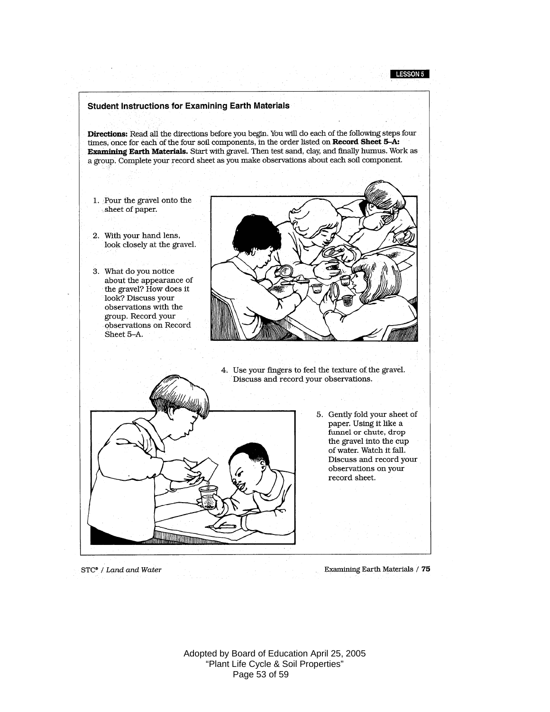#### **Student Instructions for Examining Earth Materials**

Directions: Read all the directions before you begin. You will do each of the following steps four times, once for each of the four soil components, in the order listed on Record Sheet 5-A: Examining Earth Materials. Start with gravel. Then test sand, clay, and finally humus. Work as a group. Complete your record sheet as you make observations about each soil component.

- 1. Pour the gravel onto the sheet of paper.
- 2. With your hand lens, look closely at the gravel.
- 3. What do you notice about the appearance of the gravel? How does it look? Discuss your observations with the group. Record your observations on Record Sheet 5-A.



4. Use your fingers to feel the texture of the gravel. Discuss and record your observations.



5. Gently fold your sheet of paper. Using it like a funnel or chute, drop the gravel into the cup of water. Watch it fall. Discuss and record your observations on your record sheet.

STC® / Land and Water

Examining Earth Materials / 75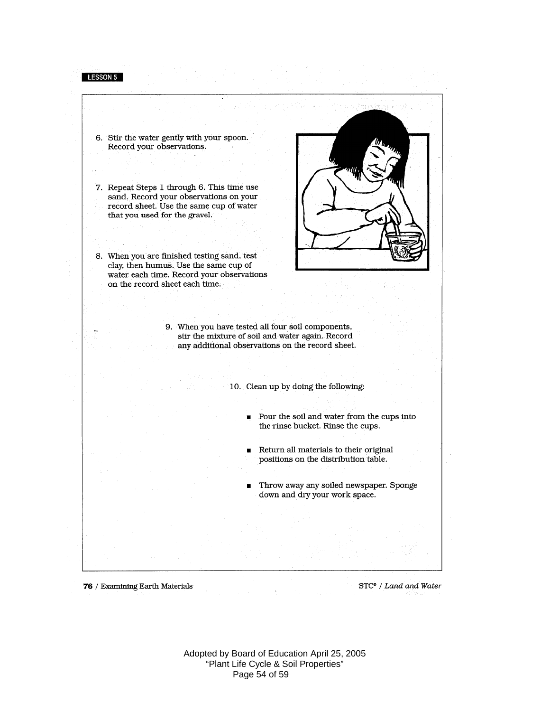#### LESSON 5

6. Stir the water gently with your spoon. Record your observations.

- 7. Repeat Steps 1 through 6. This time use sand. Record your observations on your record sheet. Use the same cup of water that you used for the gravel.
- 8. When you are finished testing sand, test clay, then humus. Use the same cup of water each time. Record your observations on the record sheet each time.

9. When you have tested all four soil components, stir the mixture of soil and water again. Record any additional observations on the record sheet.

 $\blacksquare$ 

10. Clean up by doing the following:

- Pour the soil and water from the cups into the rinse bucket. Rinse the cups.
- Return all materials to their original  $\blacksquare$ positions on the distribution table.
	- Throw away any soiled newspaper. Sponge down and dry your work space.

76 / Examining Earth Materials

STC<sup>®</sup> / Land and Water

Adopted by Board of Education April 25, 2005 "Plant Life Cycle & Soil Properties" Page 54 of 59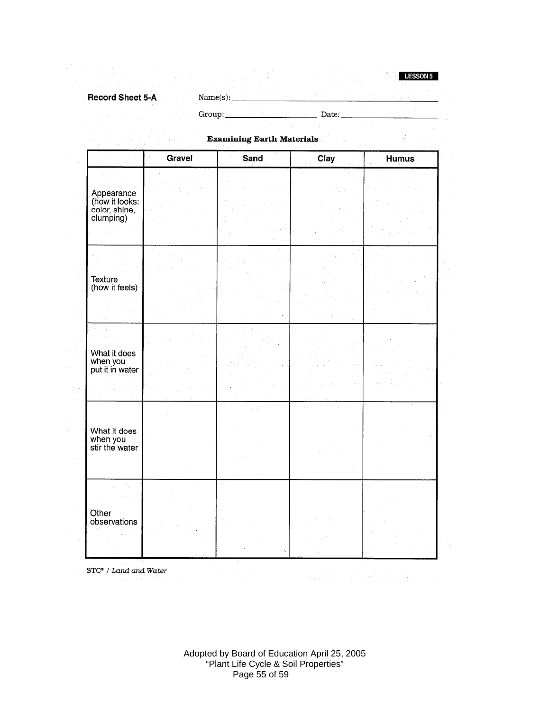#### **Record Sheet 5-A**

Name(s): Group:

 $\overline{\phantom{a}}$  Date:

**Examining Earth Materials** 

|                                                            | <b>Gravel</b> | Sand | Clay | <b>Humus</b> |  |
|------------------------------------------------------------|---------------|------|------|--------------|--|
| Appearance<br>(how it looks:<br>color, shine,<br>clumping) |               |      |      |              |  |
| Texture<br>(how it feels)                                  |               |      |      |              |  |
| What it does<br>when you<br>put it in water                |               |      |      |              |  |
| What it does<br>when you<br>stir the water                 |               |      |      |              |  |
| Other<br>observations                                      |               |      |      |              |  |

 $\mathrm{STC}^\bullet$  / Land and Water

Adopted by Board of Education April 25, 2005<br>"Plant Life Cycle & Soil Properties"<br>Page 55 of 59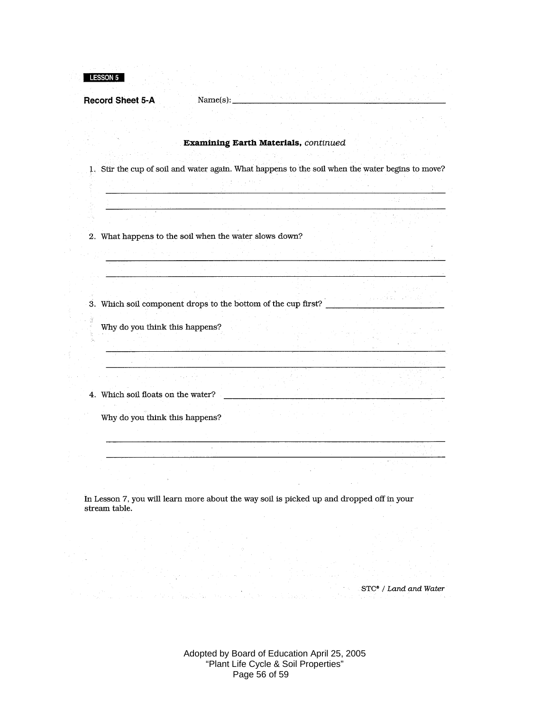LESSON 5

**Record Sheet 5-A** 

#### **Examining Earth Materials, continued**

an is a shekarar ta 1999 a shekara

1. Stir the cup of soil and water again. What happens to the soil when the water begins to move?

 $\sim 10^{-1}$ 

and consultation

2. What happens to the soil when the water slows down?

3. Which soil component drops to the bottom of the cup first?

Why do you think this happens?

الأنباط والمار

4. Which soil floats on the water? Why do you think this happens?

In Lesson 7, you will learn more about the way soil is picked up and dropped off in your stream table.

STC<sup>®</sup> / Land and Water

Adopted by Board of Education April 25, 2005 "Plant Life Cycle & Soil Properties" Page 56 of 59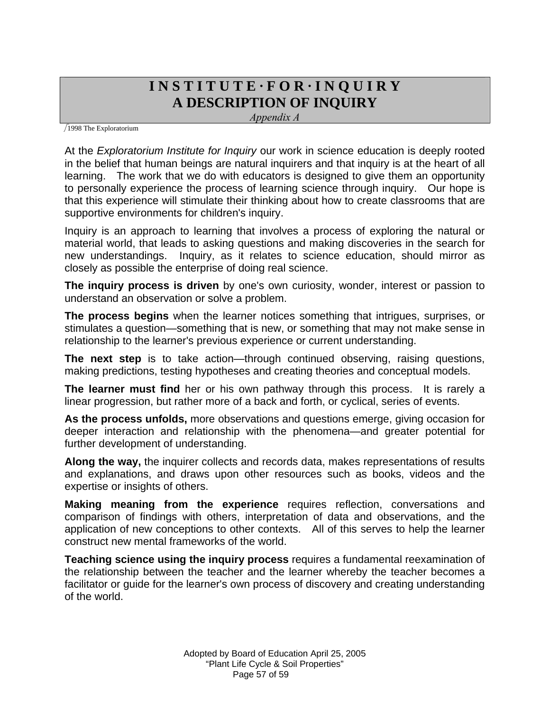# **I N S T I T U T E · F O R · I N Q U I R Y A DESCRIPTION OF INQUIRY**

*Appendix A* 

 $\sqrt{1998}$  The Exploratorium

At the *Exploratorium Institute for Inquiry* our work in science education is deeply rooted in the belief that human beings are natural inquirers and that inquiry is at the heart of all learning. The work that we do with educators is designed to give them an opportunity to personally experience the process of learning science through inquiry. Our hope is that this experience will stimulate their thinking about how to create classrooms that are supportive environments for children's inquiry.

Inquiry is an approach to learning that involves a process of exploring the natural or material world, that leads to asking questions and making discoveries in the search for new understandings. Inquiry, as it relates to science education, should mirror as closely as possible the enterprise of doing real science.

**The inquiry process is driven** by one's own curiosity, wonder, interest or passion to understand an observation or solve a problem.

**The process begins** when the learner notices something that intrigues, surprises, or stimulates a question—something that is new, or something that may not make sense in relationship to the learner's previous experience or current understanding.

**The next step** is to take action—through continued observing, raising questions, making predictions, testing hypotheses and creating theories and conceptual models.

**The learner must find** her or his own pathway through this process. It is rarely a linear progression, but rather more of a back and forth, or cyclical, series of events.

**As the process unfolds,** more observations and questions emerge, giving occasion for deeper interaction and relationship with the phenomena—and greater potential for further development of understanding.

**Along the way,** the inquirer collects and records data, makes representations of results and explanations, and draws upon other resources such as books, videos and the expertise or insights of others.

**Making meaning from the experience** requires reflection, conversations and comparison of findings with others, interpretation of data and observations, and the application of new conceptions to other contexts. All of this serves to help the learner construct new mental frameworks of the world.

**Teaching science using the inquiry process** requires a fundamental reexamination of the relationship between the teacher and the learner whereby the teacher becomes a facilitator or guide for the learner's own process of discovery and creating understanding of the world.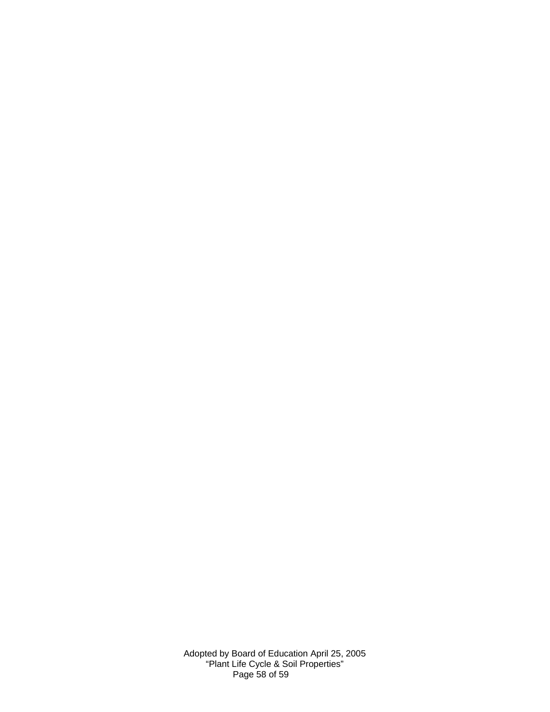Adopted by Board of Education April 25, 2005 "Plant Life Cycle & Soil Properties" Page 58 of 59